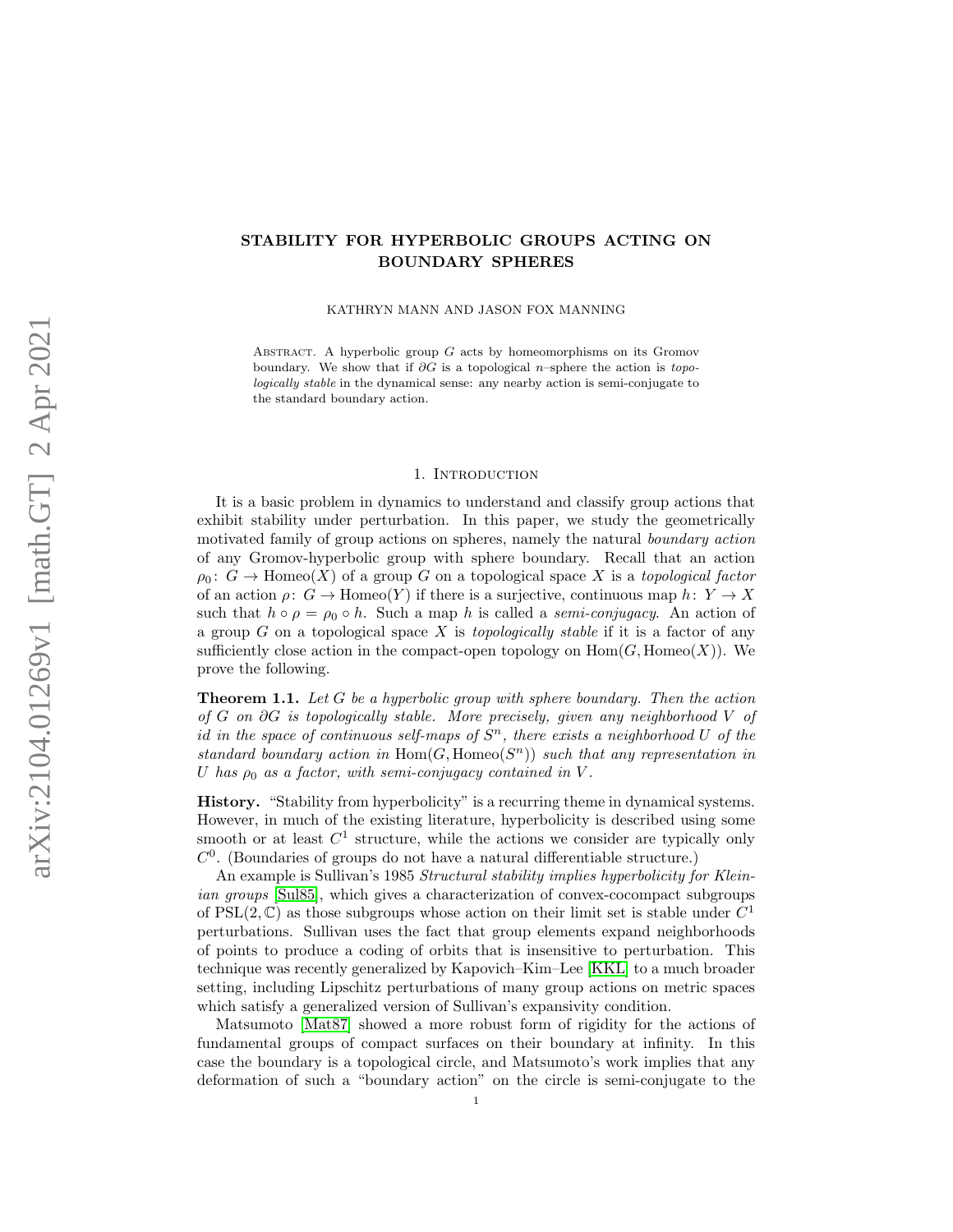# STABILITY FOR HYPERBOLIC GROUPS ACTING ON BOUNDARY SPHERES

KATHRYN MANN AND JASON FOX MANNING

ABSTRACT. A hyperbolic group  $G$  acts by homeomorphisms on its Gromov boundary. We show that if  $\partial G$  is a topological n–sphere the action is topologically stable in the dynamical sense: any nearby action is semi-conjugate to the standard boundary action.

#### 1. Introduction

It is a basic problem in dynamics to understand and classify group actions that exhibit stability under perturbation. In this paper, we study the geometrically motivated family of group actions on spheres, namely the natural boundary action of any Gromov-hyperbolic group with sphere boundary. Recall that an action  $\rho_0: G \to \text{Homeo}(X)$  of a group G on a topological space X is a topological factor of an action  $\rho: G \to \text{Homeo}(Y)$  if there is a surjective, continuous map  $h: Y \to X$ such that  $h \circ \rho = \rho_0 \circ h$ . Such a map h is called a semi-conjugacy. An action of a group  $G$  on a topological space  $X$  is *topologically stable* if it is a factor of any sufficiently close action in the compact-open topology on  $\text{Hom}(G, \text{Homeo}(X))$ . We prove the following.

<span id="page-0-0"></span>**Theorem 1.1.** Let  $G$  be a hyperbolic group with sphere boundary. Then the action of G on ∂G is topologically stable. More precisely, given any neighborhood V of id in the space of continuous self-maps of  $S<sup>n</sup>$ , there exists a neighborhood U of the standard boundary action in  $\text{Hom}(G, \text{Homeo}(S^n))$  such that any representation in U has  $\rho_0$  as a factor, with semi-conjugacy contained in V.

History. "Stability from hyperbolicity" is a recurring theme in dynamical systems. However, in much of the existing literature, hyperbolicity is described using some smooth or at least  $C<sup>1</sup>$  structure, while the actions we consider are typically only  $C<sup>0</sup>$ . (Boundaries of groups do not have a natural differentiable structure.)

An example is Sullivan's 1985 Structural stability implies hyperbolicity for Kleinian groups [\[Sul85\]](#page-26-0), which gives a characterization of convex-cocompact subgroups of PSL $(2, \mathbb{C})$  as those subgroups whose action on their limit set is stable under  $C<sup>1</sup>$ perturbations. Sullivan uses the fact that group elements expand neighborhoods of points to produce a coding of orbits that is insensitive to perturbation. This technique was recently generalized by Kapovich–Kim–Lee [\[KKL\]](#page-26-1) to a much broader setting, including Lipschitz perturbations of many group actions on metric spaces which satisfy a generalized version of Sullivan's expansivity condition.

Matsumoto [\[Mat87\]](#page-26-2) showed a more robust form of rigidity for the actions of fundamental groups of compact surfaces on their boundary at infinity. In this case the boundary is a topological circle, and Matsumoto's work implies that any deformation of such a "boundary action" on the circle is semi-conjugate to the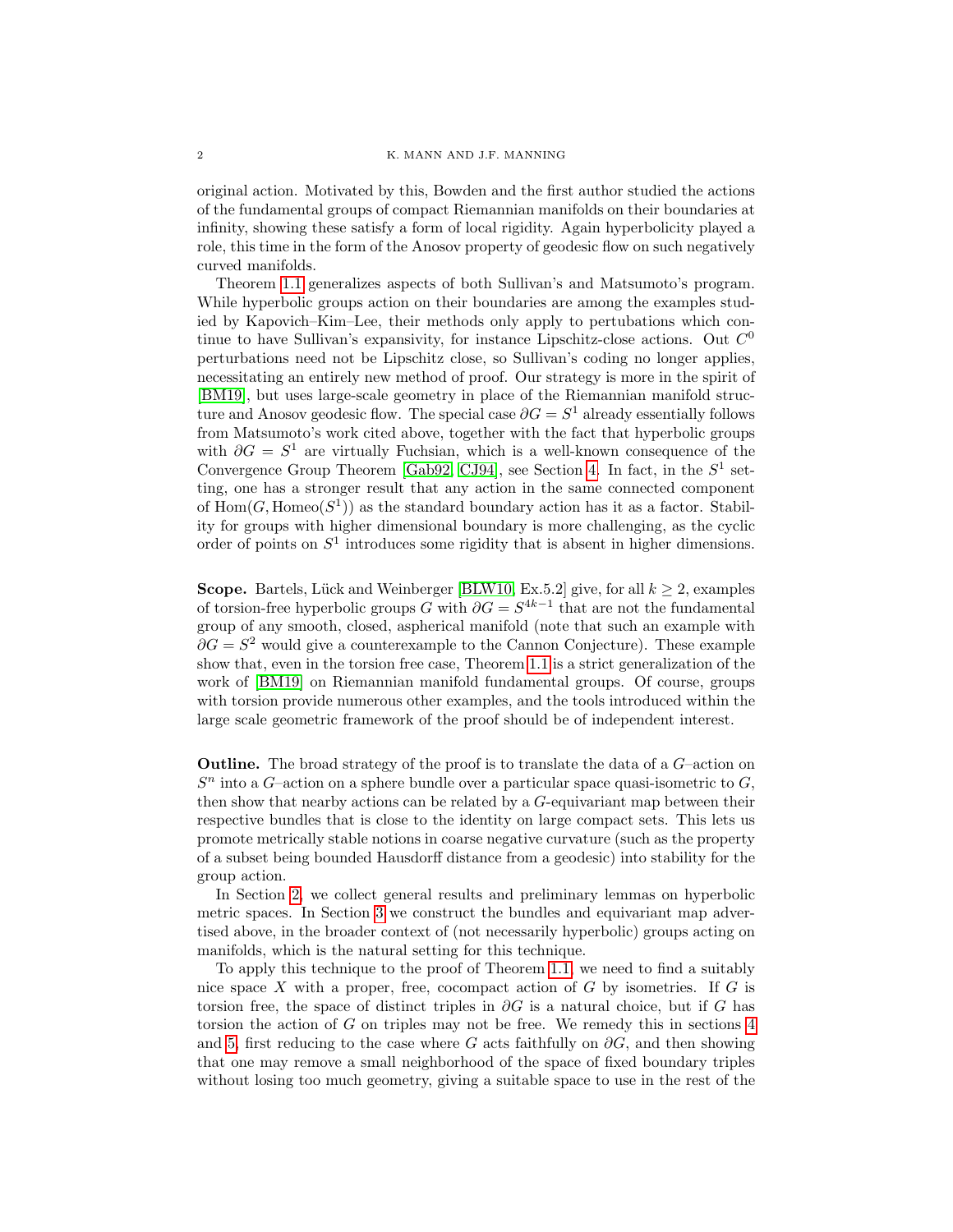original action. Motivated by this, Bowden and the first author studied the actions of the fundamental groups of compact Riemannian manifolds on their boundaries at infinity, showing these satisfy a form of local rigidity. Again hyperbolicity played a role, this time in the form of the Anosov property of geodesic flow on such negatively curved manifolds.

Theorem [1.1](#page-0-0) generalizes aspects of both Sullivan's and Matsumoto's program. While hyperbolic groups action on their boundaries are among the examples studied by Kapovich–Kim–Lee, their methods only apply to pertubations which continue to have Sullivan's expansivity, for instance Lipschitz-close actions. Out  $C^0$ perturbations need not be Lipschitz close, so Sullivan's coding no longer applies, necessitating an entirely new method of proof. Our strategy is more in the spirit of [\[BM19\]](#page-25-0), but uses large-scale geometry in place of the Riemannian manifold structure and Anosov geodesic flow. The special case  $\partial G = S^1$  already essentially follows from Matsumoto's work cited above, together with the fact that hyperbolic groups with  $\partial G = S^1$  are virtually Fuchsian, which is a well-known consequence of the Convergence Group Theorem [\[Gab92,](#page-25-1) [CJ94\]](#page-25-2), see Section [4.](#page-10-0) In fact, in the  $S^1$  setting, one has a stronger result that any action in the same connected component of  $Hom(G, Homeo(S^1))$  as the standard boundary action has it as a factor. Stability for groups with higher dimensional boundary is more challenging, as the cyclic order of points on  $S<sup>1</sup>$  introduces some rigidity that is absent in higher dimensions.

Scope. Bartels, Lück and Weinberger [\[BLW10,](#page-25-3) Ex.5.2] give, for all  $k \geq 2$ , examples of torsion-free hyperbolic groups G with  $\partial G = S^{4k-1}$  that are not the fundamental group of any smooth, closed, aspherical manifold (note that such an example with  $\partial G = S^2$  would give a counterexample to the Cannon Conjecture). These example show that, even in the torsion free case, Theorem [1.1](#page-0-0) is a strict generalization of the work of [\[BM19\]](#page-25-0) on Riemannian manifold fundamental groups. Of course, groups with torsion provide numerous other examples, and the tools introduced within the large scale geometric framework of the proof should be of independent interest.

Outline. The broad strategy of the proof is to translate the data of a G–action on  $S<sup>n</sup>$  into a G-action on a sphere bundle over a particular space quasi-isometric to  $G$ , then show that nearby actions can be related by a G-equivariant map between their respective bundles that is close to the identity on large compact sets. This lets us promote metrically stable notions in coarse negative curvature (such as the property of a subset being bounded Hausdorff distance from a geodesic) into stability for the group action.

In Section [2,](#page-2-0) we collect general results and preliminary lemmas on hyperbolic metric spaces. In Section [3](#page-8-0) we construct the bundles and equivariant map advertised above, in the broader context of (not necessarily hyperbolic) groups acting on manifolds, which is the natural setting for this technique.

To apply this technique to the proof of Theorem [1.1,](#page-0-0) we need to find a suitably nice space X with a proper, free, cocompact action of  $G$  by isometries. If  $G$  is torsion free, the space of distinct triples in  $\partial G$  is a natural choice, but if G has torsion the action of  $G$  on triples may not be free. We remedy this in sections  $4$ and [5,](#page-11-0) first reducing to the case where G acts faithfully on  $\partial G$ , and then showing that one may remove a small neighborhood of the space of fixed boundary triples without losing too much geometry, giving a suitable space to use in the rest of the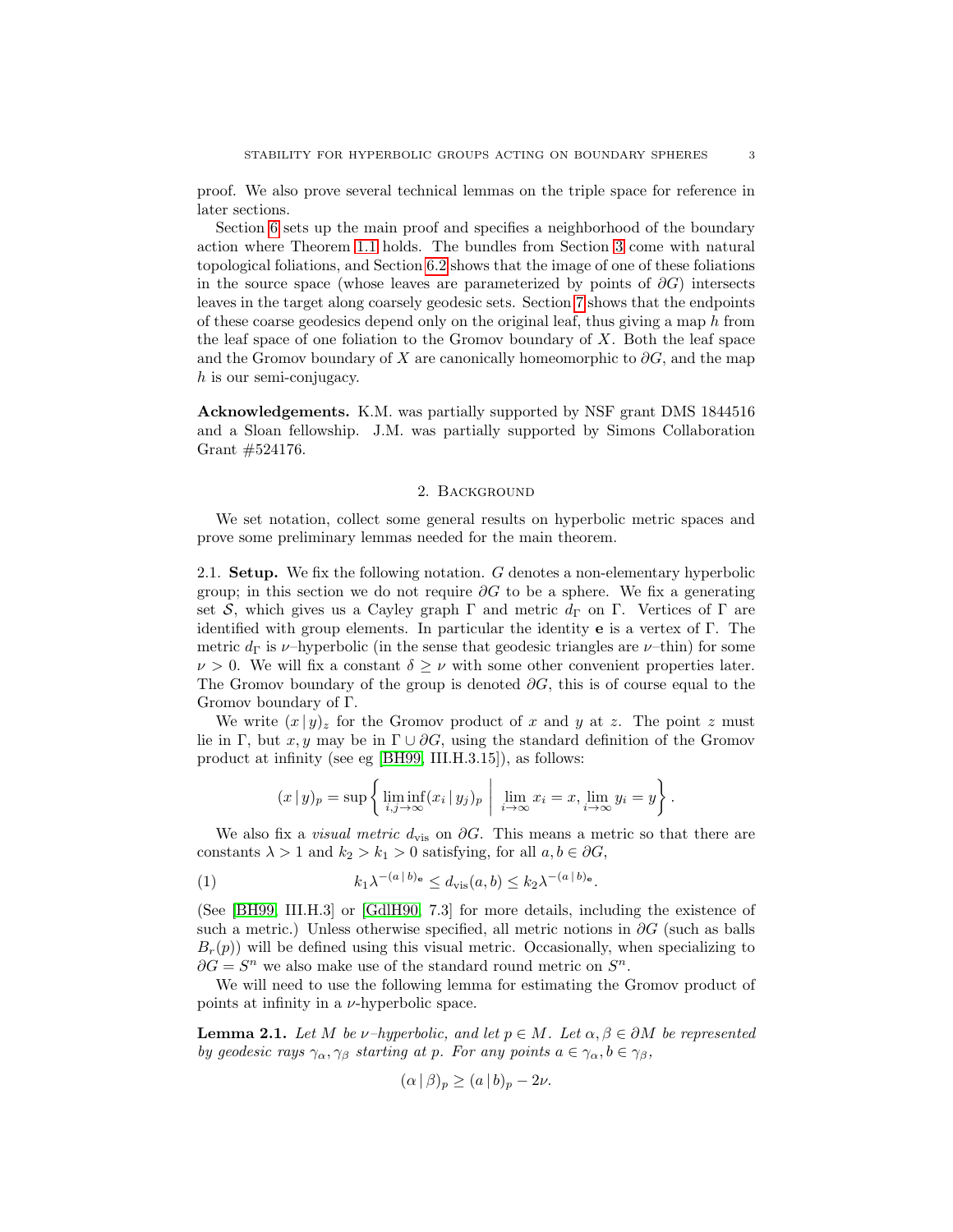proof. We also prove several technical lemmas on the triple space for reference in later sections.

Section [6](#page-15-0) sets up the main proof and specifies a neighborhood of the boundary action where Theorem [1.1](#page-0-0) holds. The bundles from Section [3](#page-8-0) come with natural topological foliations, and Section [6.2](#page-17-0) shows that the image of one of these foliations in the source space (whose leaves are parameterized by points of  $\partial G$ ) intersects leaves in the target along coarsely geodesic sets. Section [7](#page-20-0) shows that the endpoints of these coarse geodesics depend only on the original leaf, thus giving a map  $h$  from the leaf space of one foliation to the Gromov boundary of  $X$ . Both the leaf space and the Gromov boundary of X are canonically homeomorphic to  $\partial G$ , and the map h is our semi-conjugacy.

Acknowledgements. K.M. was partially supported by NSF grant DMS 1844516 and a Sloan fellowship. J.M. was partially supported by Simons Collaboration Grant #524176.

#### 2. Background

<span id="page-2-0"></span>We set notation, collect some general results on hyperbolic metric spaces and prove some preliminary lemmas needed for the main theorem.

2.1. Setup. We fix the following notation. G denotes a non-elementary hyperbolic group; in this section we do not require  $\partial G$  to be a sphere. We fix a generating set S, which gives us a Cayley graph  $\Gamma$  and metric  $d_{\Gamma}$  on  $\Gamma$ . Vertices of  $\Gamma$  are identified with group elements. In particular the identity e is a vertex of Γ. The metric  $d_{\Gamma}$  is  $\nu$ -hyperbolic (in the sense that geodesic triangles are  $\nu$ -thin) for some  $\nu > 0$ . We will fix a constant  $\delta \geq \nu$  with some other convenient properties later. The Gromov boundary of the group is denoted  $\partial G$ , this is of course equal to the Gromov boundary of Γ.

We write  $(x | y)_z$  for the Gromov product of x and y at z. The point z must lie in Γ, but x, y may be in  $\Gamma \cup \partial G$ , using the standard definition of the Gromov product at infinity (see eg [\[BH99,](#page-25-4) III.H.3.15]), as follows:

$$
(x \mid y)_p = \sup \left\{ \liminf_{i,j \to \infty} (x_i \mid y_j)_p \mid \lim_{i \to \infty} x_i = x, \lim_{i \to \infty} y_i = y \right\}.
$$

We also fix a *visual metric d*<sub>vis</sub> on  $\partial G$ . This means a metric so that there are constants  $\lambda > 1$  and  $k_2 > k_1 > 0$  satisfying, for all  $a, b \in \partial G$ ,

(1) 
$$
k_1 \lambda^{-(a \,|\, b)_e} \leq d_{\text{vis}}(a, b) \leq k_2 \lambda^{-(a \,|\, b)_e}.
$$

(See [\[BH99,](#page-25-4) III.H.3] or [\[GdlH90,](#page-26-3) 7.3] for more details, including the existence of such a metric.) Unless otherwise specified, all metric notions in  $\partial G$  (such as balls  $B_r(p)$ ) will be defined using this visual metric. Occasionally, when specializing to  $\partial G = S^n$  we also make use of the standard round metric on  $S^n$ .

We will need to use the following lemma for estimating the Gromov product of points at infinity in a  $\nu$ -hyperbolic space.

<span id="page-2-1"></span>**Lemma 2.1.** Let M be v–hyperbolic, and let  $p \in M$ . Let  $\alpha, \beta \in \partial M$  be represented by geodesic rays  $\gamma_{\alpha}, \gamma_{\beta}$  starting at p. For any points  $a \in \gamma_{\alpha}, b \in \gamma_{\beta}$ ,

$$
(\alpha \,|\, \beta)_p \ge (a \,|\, b)_p - 2\nu.
$$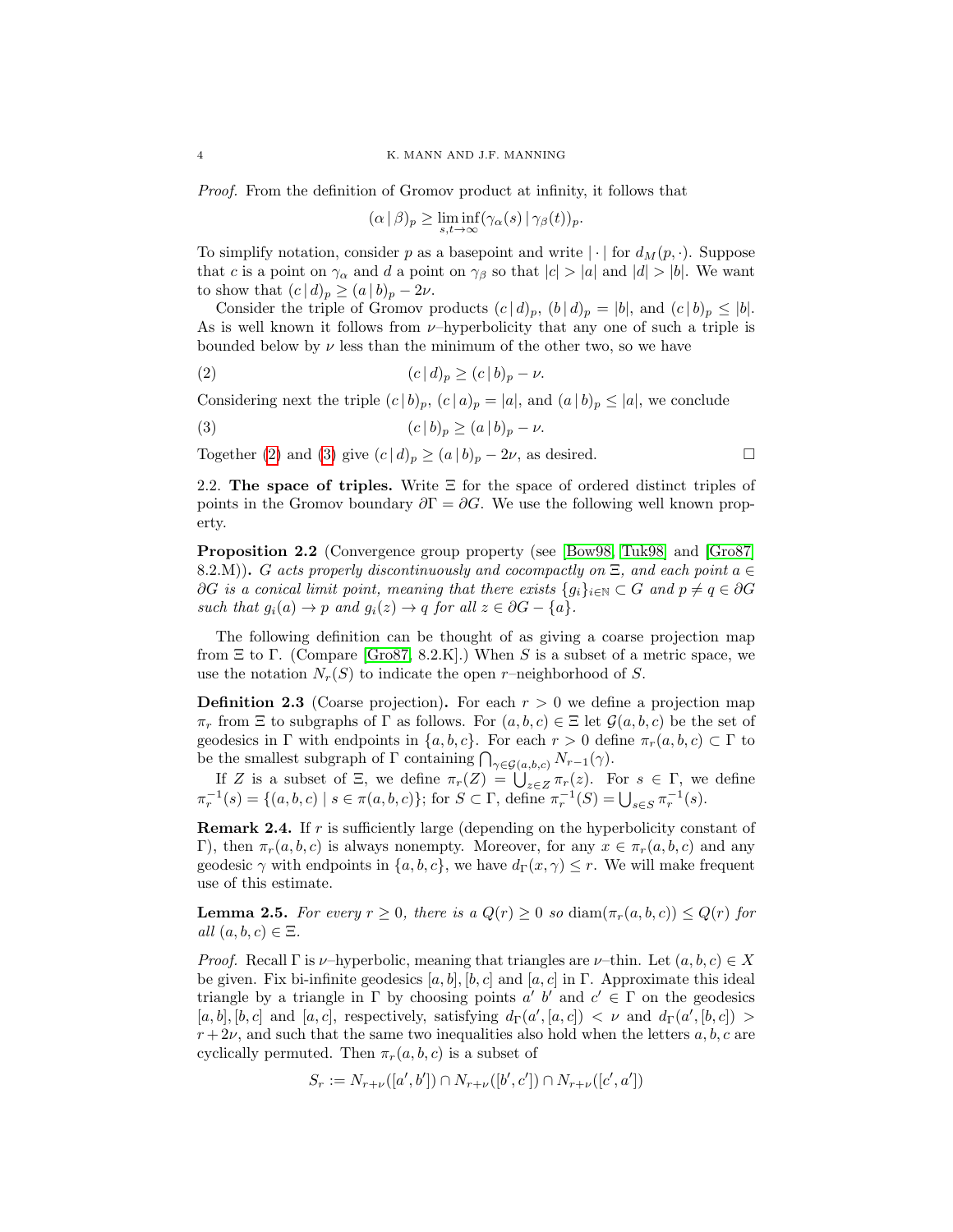Proof. From the definition of Gromov product at infinity, it follows that

<span id="page-3-1"></span><span id="page-3-0"></span>
$$
(\alpha \mid \beta)_p \ge \liminf_{s,t \to \infty} (\gamma_\alpha(s) \mid \gamma_\beta(t))_p.
$$

To simplify notation, consider p as a basepoint and write  $|\cdot|$  for  $d_M(p, \cdot)$ . Suppose that c is a point on  $\gamma_{\alpha}$  and d a point on  $\gamma_{\beta}$  so that  $|c| > |a|$  and  $|d| > |b|$ . We want to show that  $(c | d)_p \geq (a | b)_p - 2\nu$ .

Consider the triple of Gromov products  $(c | d)_p$ ,  $(b | d)_p = |b|$ , and  $(c | b)_p \leq |b|$ . As is well known it follows from  $\nu$ -hyperbolicity that any one of such a triple is bounded below by  $\nu$  less than the minimum of the other two, so we have

$$
(2) \qquad \qquad (c \mid d)_p \ge (c \mid b)_p - \nu.
$$

Considering next the triple  $(c | b)_p$ ,  $(c | a)_p = |a|$ , and  $(a | b)_p \leq |a|$ , we conclude

(3) 
$$
(c | b)_p \ge (a | b)_p - \nu.
$$

Together [\(2\)](#page-3-0) and [\(3\)](#page-3-1) give  $(c | d)_p \ge (a | b)_p - 2\nu$ , as desired.

2.2. The space of triples. Write  $\Xi$  for the space of ordered distinct triples of points in the Gromov boundary  $\partial \Gamma = \partial G$ . We use the following well known property.

<span id="page-3-3"></span>Proposition 2.2 (Convergence group property (see [\[Bow98,](#page-25-5) [Tuk98\]](#page-26-4) and [\[Gro87\]](#page-26-5) 8.2.M). G acts properly discontinuously and cocompactly on  $\Xi$ , and each point  $a \in$  $\partial G$  is a conical limit point, meaning that there exists  $\{g_i\}_{i\in\mathbb{N}}\subset G$  and  $p\neq q\in\partial G$ such that  $g_i(a) \to p$  and  $g_i(z) \to q$  for all  $z \in \partial G - \{a\}.$ 

The following definition can be thought of as giving a coarse projection map from  $\Xi$  to  $\Gamma$ . (Compare [\[Gro87,](#page-26-5) 8.2.K].) When S is a subset of a metric space, we use the notation  $N_r(S)$  to indicate the open r–neighborhood of S.

**Definition 2.3** (Coarse projection). For each  $r > 0$  we define a projection map  $\pi_r$  from  $\Xi$  to subgraphs of  $\Gamma$  as follows. For  $(a, b, c) \in \Xi$  let  $\mathcal{G}(a, b, c)$  be the set of geodesics in  $\Gamma$  with endpoints in  $\{a, b, c\}$ . For each  $r > 0$  define  $\pi_r(a, b, c) \subset \Gamma$  to be the smallest subgraph of  $\Gamma$  containing  $\bigcap_{\gamma \in \mathcal{G}(a,b,c)} N_{r-1}(\gamma)$ .

If Z is a subset of  $\Xi$ , we define  $\pi_r(Z) = \bigcup_{z \in Z} \pi_r(z)$ . For  $s \in \Gamma$ , we define  $\pi_r^{-1}(s) = \{(a, b, c) \mid s \in \pi(a, b, c)\};$  for  $S \subset \Gamma$ , define  $\pi_r^{-1}(S) = \bigcup_{s \in S} \pi_r^{-1}(s)$ .

<span id="page-3-2"></span>**Remark 2.4.** If r is sufficiently large (depending on the hyperbolicity constant of Γ), then  $\pi_r(a, b, c)$  is always nonempty. Moreover, for any  $x \in \pi_r(a, b, c)$  and any geodesic  $\gamma$  with endpoints in  $\{a, b, c\}$ , we have  $d_{\Gamma}(x, \gamma) \leq r$ . We will make frequent use of this estimate.

<span id="page-3-4"></span>**Lemma 2.5.** For every  $r \geq 0$ , there is a  $Q(r) \geq 0$  so  $\text{diam}(\pi_r(a, b, c)) \leq Q(r)$  for all  $(a, b, c) \in \Xi$ .

*Proof.* Recall  $\Gamma$  is  $\nu$ -hyperbolic, meaning that triangles are  $\nu$ -thin. Let  $(a, b, c) \in X$ be given. Fix bi-infinite geodesics  $[a, b]$ ,  $[b, c]$  and  $[a, c]$  in  $\Gamma$ . Approximate this ideal triangle by a triangle in  $\Gamma$  by choosing points  $a'$  b' and  $c' \in \Gamma$  on the geodesics  $[a, b], [b, c]$  and  $[a, c]$ , respectively, satisfying  $d_{\Gamma}(a', [a, c]) < \nu$  and  $d_{\Gamma}(a', [b, c]) >$  $r + 2\nu$ , and such that the same two inequalities also hold when the letters a, b, c are cyclically permuted. Then  $\pi_r(a, b, c)$  is a subset of

$$
S_r := N_{r+\nu}([a',b']) \cap N_{r+\nu}([b',c']) \cap N_{r+\nu}([c',a'])
$$

$$
\overline{a}
$$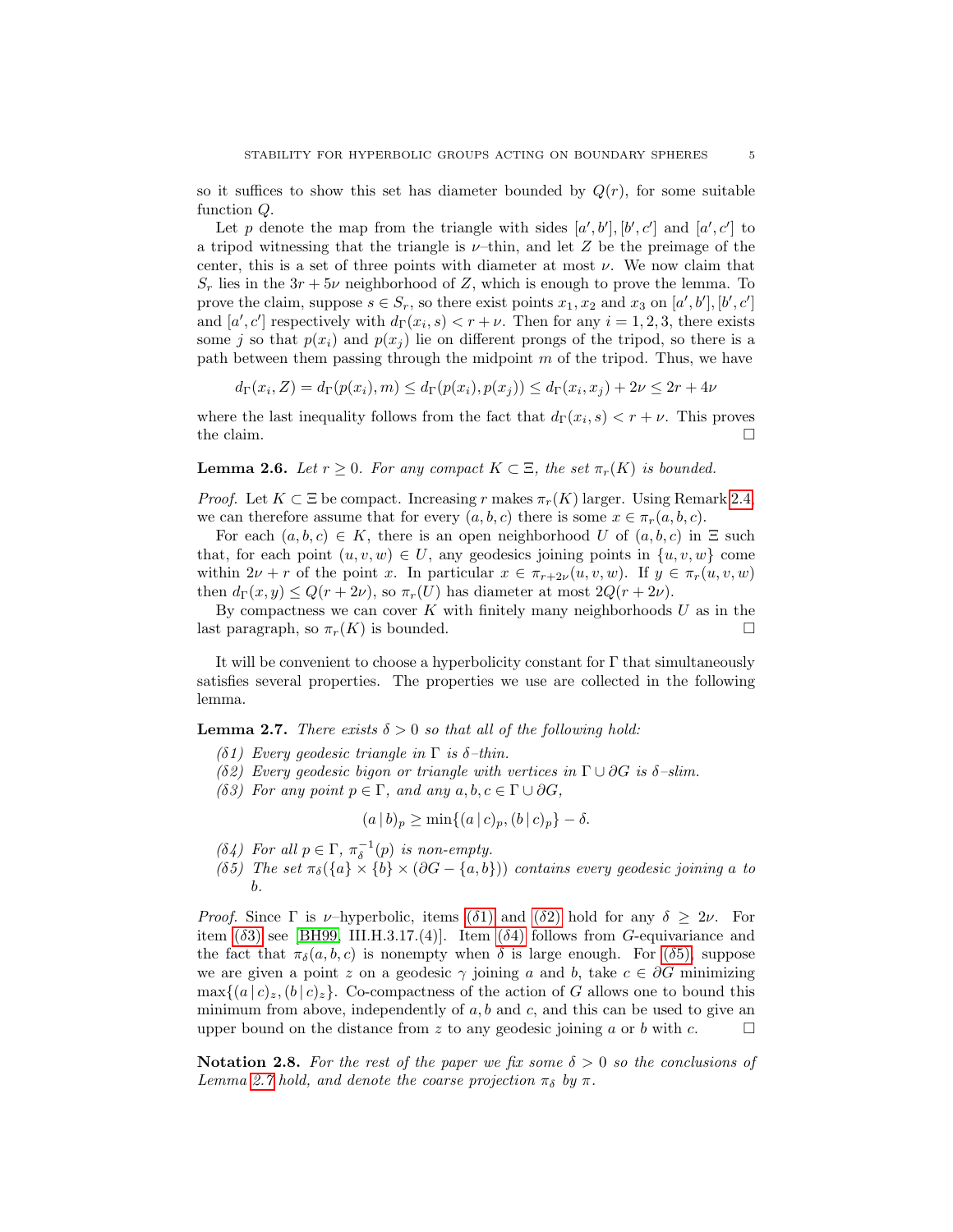so it suffices to show this set has diameter bounded by  $Q(r)$ , for some suitable function Q.

Let p denote the map from the triangle with sides  $[a', b'], [b', c']$  and  $[a', c']$  to a tripod witnessing that the triangle is  $\nu$ -thin, and let Z be the preimage of the center, this is a set of three points with diameter at most  $\nu$ . We now claim that  $S_r$  lies in the  $3r + 5\nu$  neighborhood of Z, which is enough to prove the lemma. To prove the claim, suppose  $s \in S_r$ , so there exist points  $x_1, x_2$  and  $x_3$  on  $[a', b'], [b', c']$ and  $[a', c']$  respectively with  $d_{\Gamma}(x_i, s) < r + \nu$ . Then for any  $i = 1, 2, 3$ , there exists some j so that  $p(x_i)$  and  $p(x_j)$  lie on different prongs of the tripod, so there is a path between them passing through the midpoint  $m$  of the tripod. Thus, we have

$$
d_{\Gamma}(x_i, Z) = d_{\Gamma}(p(x_i), m) \le d_{\Gamma}(p(x_i), p(x_j)) \le d_{\Gamma}(x_i, x_j) + 2\nu \le 2r + 4\nu
$$

where the last inequality follows from the fact that  $d_{\Gamma}(x_i, s) < r + \nu$ . This proves the claim.  $\Box$ 

<span id="page-4-6"></span>**Lemma 2.6.** Let  $r \geq 0$ . For any compact  $K \subset \Xi$ , the set  $\pi_r(K)$  is bounded.

*Proof.* Let  $K \subset \Xi$  be compact. Increasing r makes  $\pi_r(K)$  larger. Using Remark [2.4,](#page-3-2) we can therefore assume that for every  $(a, b, c)$  there is some  $x \in \pi_r(a, b, c)$ .

For each  $(a, b, c) \in K$ , there is an open neighborhood U of  $(a, b, c)$  in  $\Xi$  such that, for each point  $(u, v, w) \in U$ , any geodesics joining points in  $\{u, v, w\}$  come within  $2\nu + r$  of the point x. In particular  $x \in \pi_{r+2\nu}(u, v, w)$ . If  $y \in \pi_r(u, v, w)$ then  $d_{\Gamma}(x, y) \leq Q(r + 2\nu)$ , so  $\pi_r(U)$  has diameter at most  $2Q(r + 2\nu)$ .

By compactness we can cover  $K$  with finitely many neighborhoods  $U$  as in the last paragraph, so  $\pi_r(K)$  is bounded.

It will be convenient to choose a hyperbolicity constant for Γ that simultaneously satisfies several properties. The properties we use are collected in the following lemma.

<span id="page-4-5"></span>**Lemma 2.7.** There exists  $\delta > 0$  so that all of the following hold:

- <span id="page-4-0"></span>(δ1) Every geodesic triangle in  $\Gamma$  is  $\delta$ -thin.
- <span id="page-4-1"></span>(δ2) Every geodesic bigon or triangle with vertices in  $\Gamma \cup \partial G$  is  $\delta$ -slim.
- <span id="page-4-2"></span>(δ3) For any point  $p \in \Gamma$ , and any  $a, b, c \in \Gamma \cup \partial G$ ,

$$
(a | b)_p \ge \min\{(a | c)_p, (b | c)_p\} - \delta.
$$

<span id="page-4-3"></span>(δ4) For all  $p \in \Gamma$ ,  $\pi_{\delta}^{-1}(p)$  is non-empty.

<span id="page-4-4"></span>(δ5) The set  $\pi_{\delta}(\{a\} \times \{b\} \times (\partial G - \{a, b\}))$  contains every geodesic joining a to b.

*Proof.* Since  $\Gamma$  is *ν*-hyperbolic, items ( $\delta$ [1\)](#page-4-0) and ( $\delta$ [2\)](#page-4-1) hold for any  $\delta \geq 2\nu$ . For item ( $\delta$ [3\)](#page-4-2) see [\[BH99,](#page-25-4) III.H.3.17.([4\)](#page-4-3)]. Item ( $\delta$ 4) follows from G-equivariance and the fact that  $\pi_{\delta}(a, b, c)$  is nonempty when  $\delta$  is large enough. For ( $\delta$ [5\),](#page-4-4) suppose we are given a point z on a geodesic  $\gamma$  joining a and b, take  $c \in \partial G$  minimizing  $\max\{(a | c)_z, (b | c)_z\}.$  Co-compactness of the action of G allows one to bound this minimum from above, independently of  $a, b$  and  $c$ , and this can be used to give an upper bound on the distance from z to any geodesic joining a or b with c.  $\Box$ 

Notation 2.8. For the rest of the paper we fix some  $\delta > 0$  so the conclusions of Lemma [2.7](#page-4-5) hold, and denote the coarse projection  $\pi_{\delta}$  by  $\pi$ .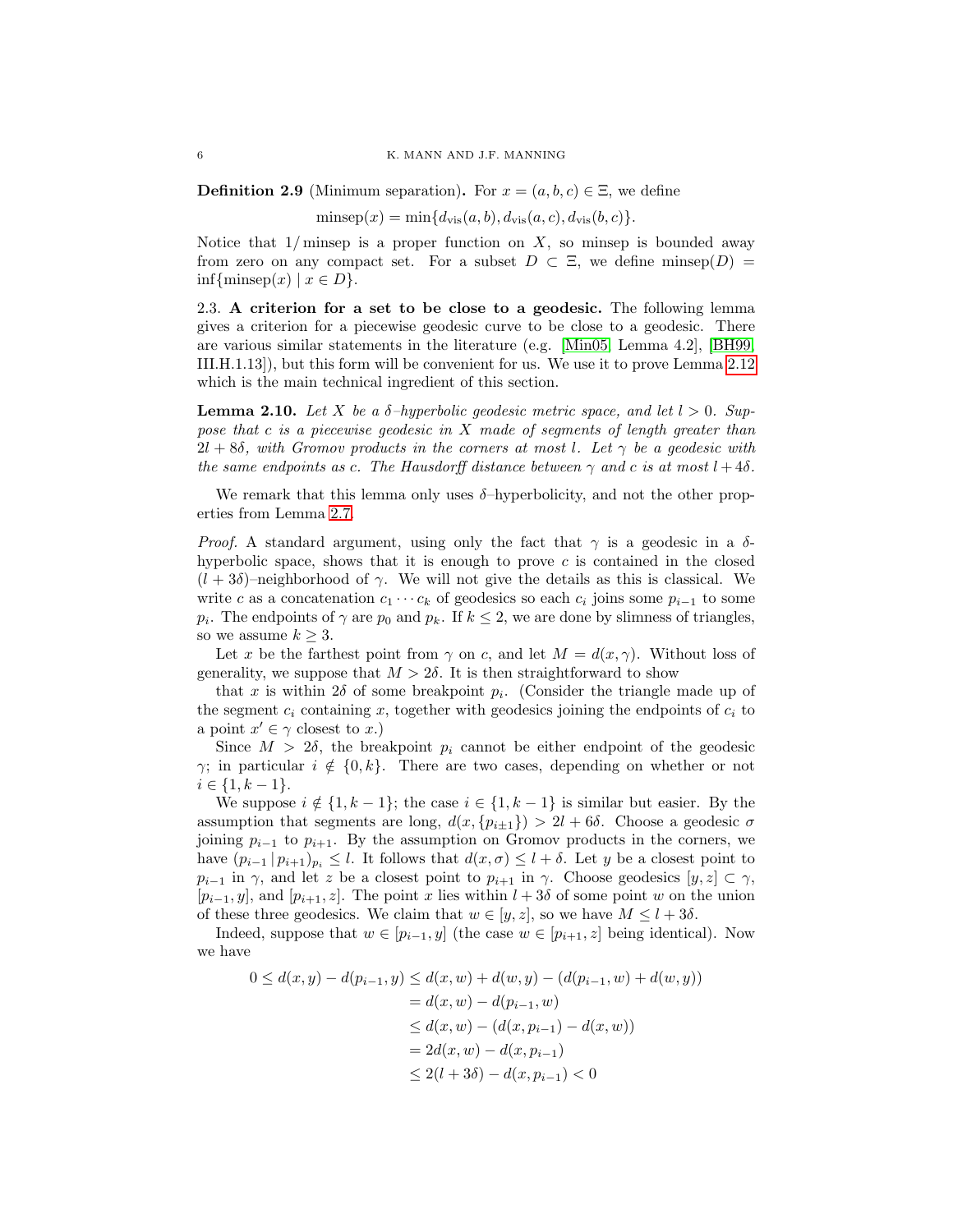**Definition 2.9** (Minimum separation). For  $x = (a, b, c) \in \Xi$ , we define

 $\text{minsep}(x) = \min\{d_{\text{vis}}(a, b), d_{\text{vis}}(a, c), d_{\text{vis}}(b, c)\}.$ 

Notice that  $1/m$  insep is a proper function on X, so minsep is bounded away from zero on any compact set. For a subset  $D \subset \Xi$ , we define minsep $(D)$  =  $\inf{\{\text{minsep}(x) \mid x \in D\}}.$ 

2.3. A criterion for a set to be close to a geodesic. The following lemma gives a criterion for a piecewise geodesic curve to be close to a geodesic. There are various similar statements in the literature (e.g. [\[Min05,](#page-26-6) Lemma 4.2], [\[BH99,](#page-25-4) III.H.1.13]), but this form will be convenient for us. We use it to prove Lemma [2.12](#page-6-0) which is the main technical ingredient of this section.

<span id="page-5-0"></span>**Lemma 2.10.** Let X be a  $\delta$ -hyperbolic geodesic metric space, and let  $l > 0$ . Suppose that c is a piecewise geodesic in  $X$  made of segments of length greater than  $2l + 8\delta$ , with Gromov products in the corners at most l. Let  $\gamma$  be a geodesic with the same endpoints as c. The Hausdorff distance between  $\gamma$  and c is at most  $l + 4\delta$ .

We remark that this lemma only uses  $\delta$ -hyperbolicity, and not the other properties from Lemma [2.7.](#page-4-5)

*Proof.* A standard argument, using only the fact that  $\gamma$  is a geodesic in a  $\delta$ hyperbolic space, shows that it is enough to prove  $c$  is contained in the closed  $(l + 3\delta)$ –neighborhood of  $\gamma$ . We will not give the details as this is classical. We write c as a concatenation  $c_1 \cdots c_k$  of geodesics so each  $c_i$  joins some  $p_{i-1}$  to some  $p_i$ . The endpoints of  $\gamma$  are  $p_0$  and  $p_k$ . If  $k \leq 2$ , we are done by slimness of triangles, so we assume  $k \geq 3$ .

Let x be the farthest point from  $\gamma$  on c, and let  $M = d(x, \gamma)$ . Without loss of generality, we suppose that  $M > 2\delta$ . It is then straightforward to show

that x is within 2 $\delta$  of some breakpoint  $p_i$ . (Consider the triangle made up of the segment  $c_i$  containing x, together with geodesics joining the endpoints of  $c_i$  to a point  $x' \in \gamma$  closest to x.)

Since  $M > 2\delta$ , the breakpoint  $p_i$  cannot be either endpoint of the geodesic  $\gamma$ ; in particular  $i \notin \{0, k\}$ . There are two cases, depending on whether or not  $i \in \{1, k-1\}.$ 

We suppose  $i \notin \{1, k-1\}$ ; the case  $i \in \{1, k-1\}$  is similar but easier. By the assumption that segments are long,  $d(x, \{p_{i\pm 1}\}) > 2l + 6\delta$ . Choose a geodesic  $\sigma$ joining  $p_{i-1}$  to  $p_{i+1}$ . By the assumption on Gromov products in the corners, we have  $(p_{i-1} | p_{i+1})_{p_i} \leq l$ . It follows that  $d(x, \sigma) \leq l + \delta$ . Let y be a closest point to  $p_{i-1}$  in  $\gamma$ , and let z be a closest point to  $p_{i+1}$  in  $\gamma$ . Choose geodesics  $[y, z] \subset \gamma$ ,  $[p_{i-1}, y]$ , and  $[p_{i+1}, z]$ . The point x lies within  $l + 3\delta$  of some point w on the union of these three geodesics. We claim that  $w \in [y, z]$ , so we have  $M \leq l + 3\delta$ .

Indeed, suppose that  $w \in [p_{i-1}, y]$  (the case  $w \in [p_{i+1}, z]$  being identical). Now we have

$$
0 \le d(x, y) - d(p_{i-1}, y) \le d(x, w) + d(w, y) - (d(p_{i-1}, w) + d(w, y))
$$
  
=  $d(x, w) - d(p_{i-1}, w)$   
 $\le d(x, w) - (d(x, p_{i-1}) - d(x, w))$   
=  $2d(x, w) - d(x, p_{i-1})$   
 $\le 2(l + 3\delta) - d(x, p_{i-1}) < 0$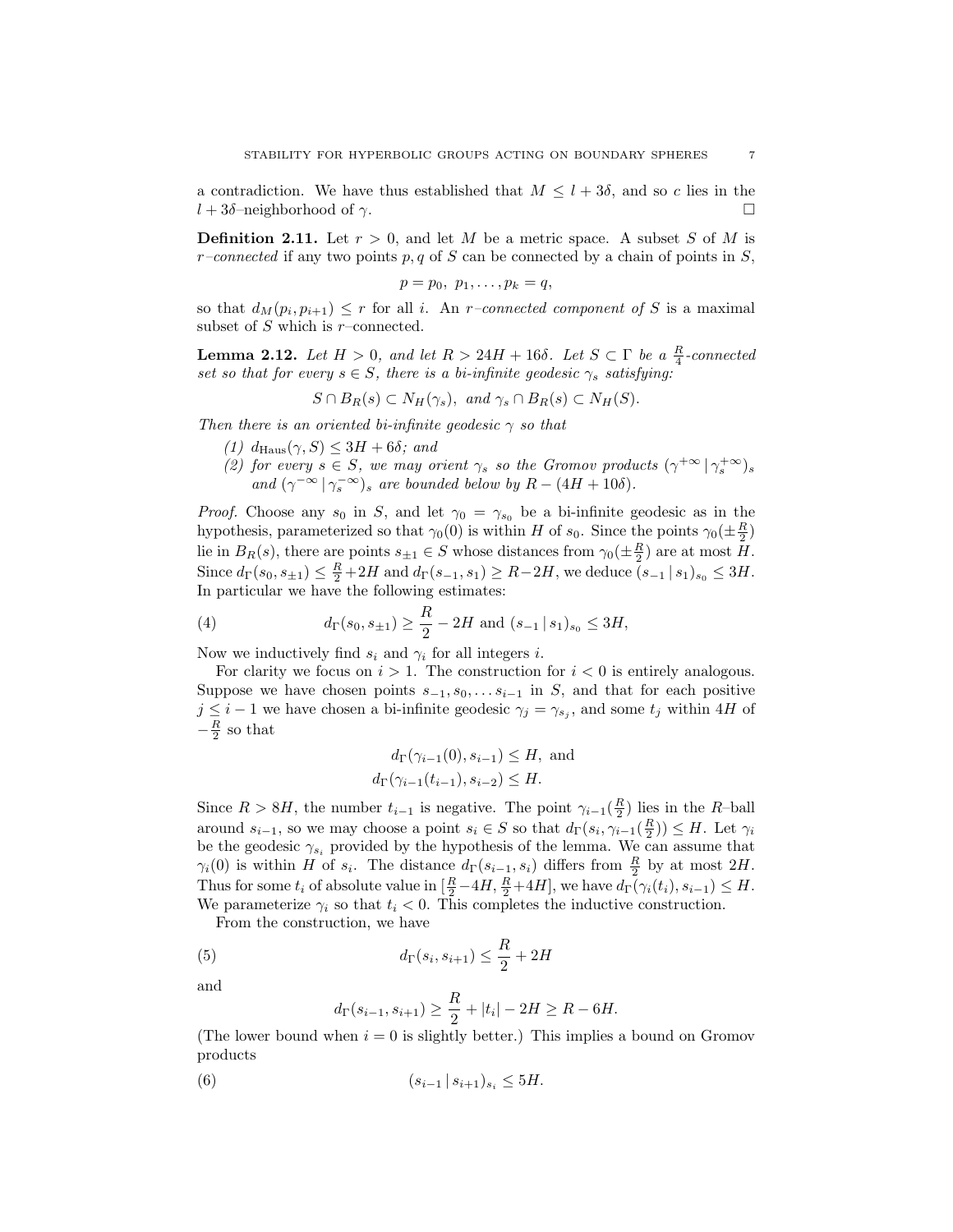a contradiction. We have thus established that  $M \leq l + 3\delta$ , and so c lies in the  $l + 3\delta$ –neighborhood of  $\gamma$ .

**Definition 2.11.** Let  $r > 0$ , and let M be a metric space. A subset S of M is  $r$ -connected if any two points p, q of S can be connected by a chain of points in S,

$$
p=p_0, p_1,\ldots,p_k=q,
$$

so that  $d_M(p_i, p_{i+1}) \leq r$  for all i. An *r*-connected component of S is a maximal subset of  $S$  which is  $r$ -connected.

<span id="page-6-0"></span>**Lemma 2.12.** Let  $H > 0$ , and let  $R > 24H + 16\delta$ . Let  $S \subset \Gamma$  be a  $\frac{R}{4}$ -connected set so that for every  $s \in S$ , there is a bi-infinite geodesic  $\gamma_s$  satisfying:

$$
S \cap B_R(s) \subset N_H(\gamma_s), \text{ and } \gamma_s \cap B_R(s) \subset N_H(S).
$$

Then there is an oriented bi-infinite geodesic  $\gamma$  so that

- (1)  $d_{\text{Haus}}(\gamma, S) \leq 3H + 6\delta$ ; and
- (2) for every  $s \in S$ , we may orient  $\gamma_s$  so the Gromov products  $(\gamma^{+\infty})^{\gamma^{+\infty}}$ , and  $(\gamma^{-\infty} | \gamma_s^{-\infty})_s$  are bounded below by  $R - (4H + 10\delta)$ .

*Proof.* Choose any  $s_0$  in S, and let  $\gamma_0 = \gamma_{s_0}$  be a bi-infinite geodesic as in the hypothesis, parameterized so that  $\gamma_0(0)$  is within H of  $s_0$ . Since the points  $\gamma_0(\pm \frac{R}{2})$ lie in  $B_R(s)$ , there are points  $s_{\pm 1} \in S$  whose distances from  $\gamma_0(\pm \frac{R}{2})$  are at most H. Since  $d_{\Gamma}(s_0, s_{\pm 1}) \leq \frac{R}{2} + 2H$  and  $d_{\Gamma}(s_{-1}, s_1) \geq R - 2H$ , we deduce  $(s_{-1} | s_1)_{s_0} \leq 3H$ . In particular we have the following estimates:

(4) 
$$
d_{\Gamma}(s_0, s_{\pm 1}) \ge \frac{R}{2} - 2H
$$
 and  $(s_{-1} | s_1)_{s_0} \le 3H$ ,

Now we inductively find  $s_i$  and  $\gamma_i$  for all integers *i*.

For clarity we focus on  $i > 1$ . The construction for  $i < 0$  is entirely analogous. Suppose we have chosen points  $s_{-1}, s_0, \ldots s_{i-1}$  in S, and that for each positive  $j \leq i-1$  we have chosen a bi-infinite geodesic  $\gamma_j = \gamma_{s_j}$ , and some  $t_j$  within 4H of  $-\frac{R}{2}$  so that

$$
d_{\Gamma}(\gamma_{i-1}(0), s_{i-1}) \leq H
$$
, and  
 $d_{\Gamma}(\gamma_{i-1}(t_{i-1}), s_{i-2}) \leq H$ .

Since  $R > 8H$ , the number  $t_{i-1}$  is negative. The point  $\gamma_{i-1}(\frac{R}{2})$  lies in the R-ball around  $s_{i-1}$ , so we may choose a point  $s_i \in S$  so that  $d_{\Gamma}(s_i, \gamma_{i-1}(\frac{R}{2})) \leq H$ . Let  $\gamma_i$ be the geodesic  $\gamma_{s_i}$  provided by the hypothesis of the lemma. We can assume that  $\gamma_i(0)$  is within H of  $s_i$ . The distance  $d_{\Gamma}(s_{i-1}, s_i)$  differs from  $\frac{R}{2}$  by at most  $2H$ . Thus for some  $t_i$  of absolute value in  $\left[\frac{R}{2} - 4H, \frac{R}{2} + 4H\right]$ , we have  $d_{\Gamma}(\gamma_i(t_i), s_{i-1}) \leq H$ . We parameterize  $\gamma_i$  so that  $t_i < 0$ . This completes the inductive construction.

From the construction, we have

(5) 
$$
d_{\Gamma}(s_i, s_{i+1}) \leq \frac{R}{2} + 2H
$$

and

<span id="page-6-2"></span><span id="page-6-1"></span>
$$
d_{\Gamma}(s_{i-1}, s_{i+1}) \ge \frac{R}{2} + |t_i| - 2H \ge R - 6H.
$$

(The lower bound when  $i = 0$  is slightly better.) This implies a bound on Gromov products

(6) 
$$
(s_{i-1} | s_{i+1})_{s_i} \leq 5H.
$$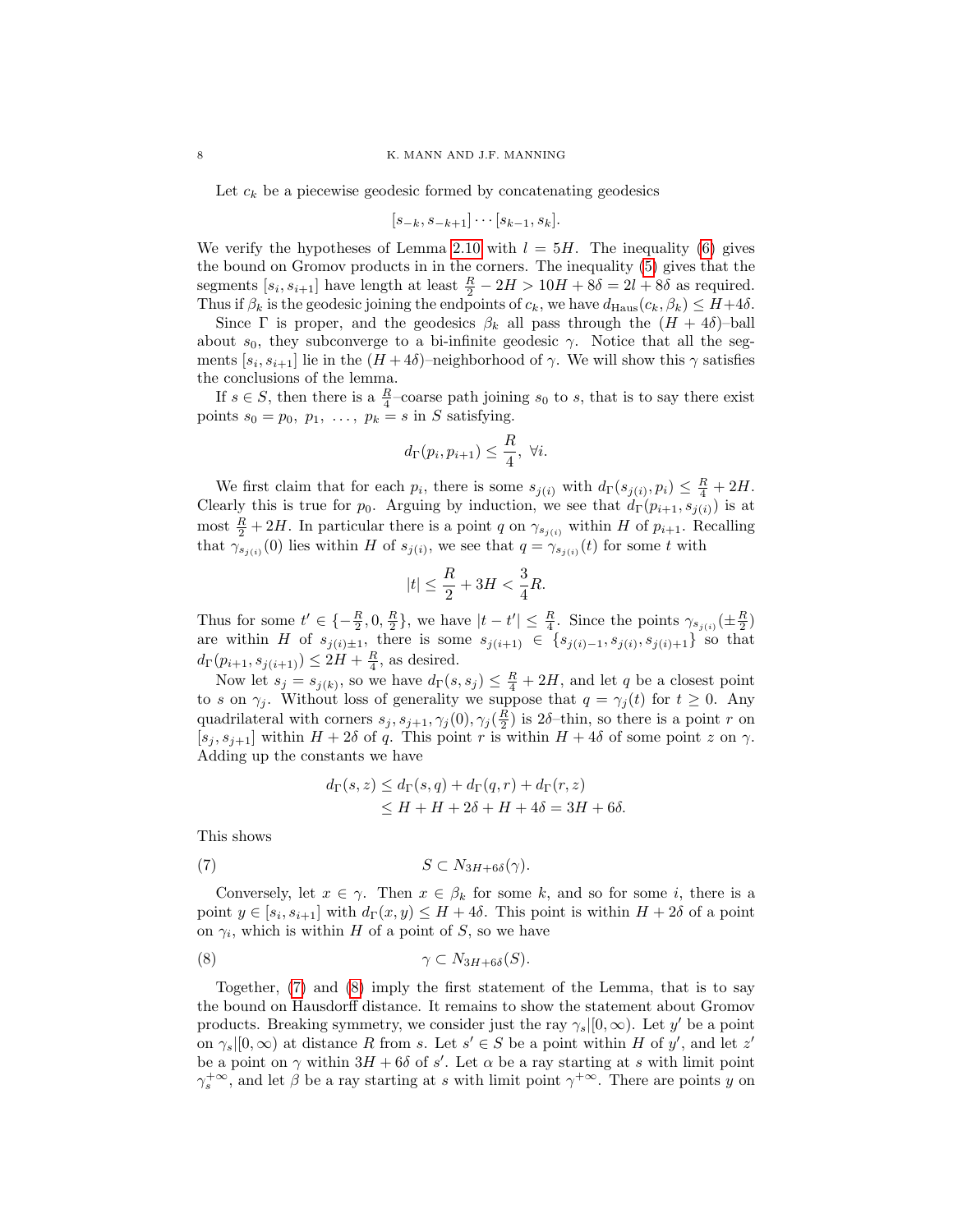Let  $c_k$  be a piecewise geodesic formed by concatenating geodesics

$$
[s_{-k}, s_{-k+1}] \cdots [s_{k-1}, s_k].
$$

We verify the hypotheses of Lemma [2.10](#page-5-0) with  $l = 5H$ . The inequality [\(6\)](#page-6-1) gives the bound on Gromov products in in the corners. The inequality [\(5\)](#page-6-2) gives that the segments  $[s_i, s_{i+1}]$  have length at least  $\frac{R}{2} - 2H > 10H + 8\delta = 2l + 8\delta$  as required. Thus if  $\beta_k$  is the geodesic joining the endpoints of  $c_k$ , we have  $d_{\text{Haus}}(c_k, \beta_k) \leq H + 4\delta$ .

Since  $\Gamma$  is proper, and the geodesics  $\beta_k$  all pass through the  $(H + 4\delta)$ -ball about  $s_0$ , they subconverge to a bi-infinite geodesic  $\gamma$ . Notice that all the segments  $[s_i, s_{i+1}]$  lie in the  $(H+4\delta)$ -neighborhood of  $\gamma$ . We will show this  $\gamma$  satisfies the conclusions of the lemma.

If  $s \in S$ , then there is a  $\frac{R}{4}$ -coarse path joining  $s_0$  to s, that is to say there exist points  $s_0 = p_0, p_1, \ldots, p_k = s$  in S satisfying.

$$
d_{\Gamma}(p_i, p_{i+1}) \leq \frac{R}{4}, \ \forall i.
$$

We first claim that for each  $p_i$ , there is some  $s_{j(i)}$  with  $d_{\Gamma}(s_{j(i)}, p_i) \leq \frac{R}{4} + 2H$ . Clearly this is true for  $p_0$ . Arguing by induction, we see that  $d_{\Gamma}(p_{i+1}, s_{j(i)})$  is at most  $\frac{R}{2} + 2H$ . In particular there is a point q on  $\gamma_{s_{j(i)}}$  within H of  $p_{i+1}$ . Recalling that  $\gamma_{s_{j(i)}}(0)$  lies within H of  $s_{j(i)}$ , we see that  $q = \gamma_{s_{j(i)}}(t)$  for some t with

$$
|t| \le \frac{R}{2} + 3H < \frac{3}{4}R.
$$

Thus for some  $t' \in \{-\frac{R}{2}, 0, \frac{R}{2}\}\$ , we have  $|t - t'| \leq \frac{R}{4}$ . Since the points  $\gamma_{s_{j(i)}}(\pm \frac{R}{2})$ are within H of  $s_{j(i)\pm 1}$ , there is some  $s_{j(i+1)} \in \{s_{j(i)-1}, s_{j(i)}, s_{j(i)+1}\}$  so that  $d_{\Gamma}(p_{i+1}, s_{j(i+1)}) \leq 2H + \frac{R}{4}$ , as desired.

Now let  $s_j = s_{j(k)}$ , so we have  $d_{\Gamma}(s, s_j) \leq \frac{R}{4} + 2H$ , and let q be a closest point to s on  $\gamma_j$ . Without loss of generality we suppose that  $q = \gamma_j(t)$  for  $t \geq 0$ . Any quadrilateral with corners  $s_j, s_{j+1}, \gamma_j(0), \gamma_j(\frac{R}{2})$  is  $2\delta$ -thin, so there is a point r on  $[s_i, s_{i+1}]$  within  $H + 2\delta$  of q. This point r is within  $H + 4\delta$  of some point z on  $\gamma$ . Adding up the constants we have

<span id="page-7-1"></span><span id="page-7-0"></span>
$$
d_{\Gamma}(s, z) \le d_{\Gamma}(s, q) + d_{\Gamma}(q, r) + d_{\Gamma}(r, z)
$$
  
\n
$$
\le H + H + 2\delta + H + 4\delta = 3H + 6\delta.
$$

This shows

$$
(7) \t\t S \subset N_{3H+6\delta}(\gamma).
$$

Conversely, let  $x \in \gamma$ . Then  $x \in \beta_k$  for some k, and so for some i, there is a point  $y \in [s_i, s_{i+1}]$  with  $d_{\Gamma}(x, y) \leq H + 4\delta$ . This point is within  $H + 2\delta$  of a point on  $\gamma_i$ , which is within H of a point of S, so we have

(8) γ ⊂ N3H+6δ(S).

Together, [\(7\)](#page-7-0) and [\(8\)](#page-7-1) imply the first statement of the Lemma, that is to say the bound on Hausdorff distance. It remains to show the statement about Gromov products. Breaking symmetry, we consider just the ray  $\gamma_s|[0,\infty)$ . Let y' be a point on  $\gamma_s|[0,\infty)$  at distance R from s. Let  $s' \in S$  be a point within H of y', and let z' be a point on  $\gamma$  within  $3H + 6\delta$  of s'. Let  $\alpha$  be a ray starting at s with limit point  $\gamma_s^{+\infty}$ , and let  $\beta$  be a ray starting at s with limit point  $\gamma^{+\infty}$ . There are points y on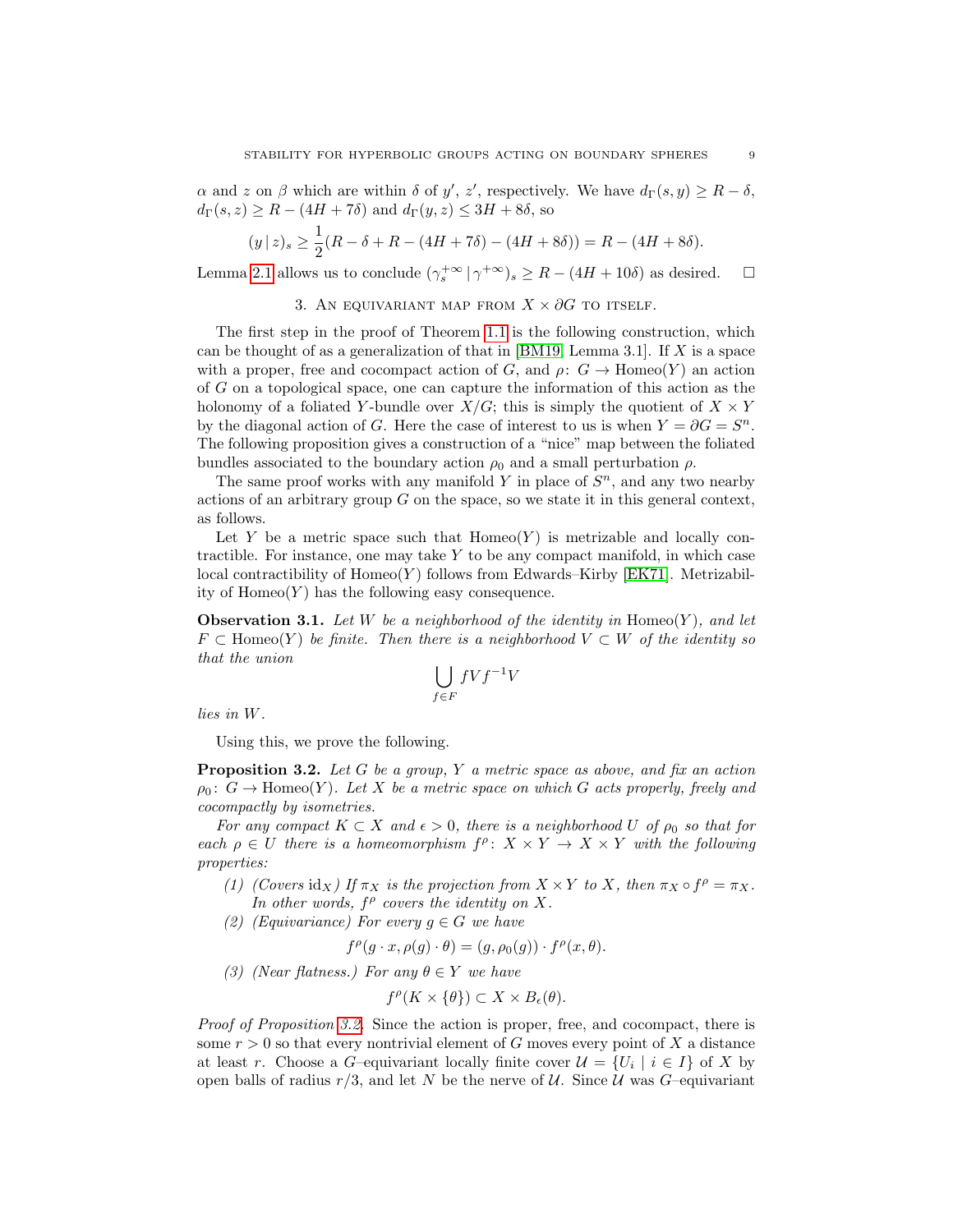$\alpha$  and z on  $\beta$  which are within  $\delta$  of  $y'$ , z', respectively. We have  $d_{\Gamma}(s, y) \ge R - \delta$ ,  $d_{\Gamma}(s, z) \geq R - (4H + 7\delta)$  and  $d_{\Gamma}(y, z) \leq 3H + 8\delta$ , so

$$
(y \mid z)_s \ge \frac{1}{2}(R - \delta + R - (4H + 7\delta) - (4H + 8\delta)) = R - (4H + 8\delta).
$$

Lemma [2.1](#page-2-1) allows us to conclude  $(\gamma_s^{+\infty} \mid \gamma^{+\infty})_s \geq R - (4H + 10\delta)$  as desired.  $\square$ 

3. AN EQUIVARIANT MAP FROM  $X \times \partial G$  to itself.

<span id="page-8-0"></span>The first step in the proof of Theorem [1.1](#page-0-0) is the following construction, which can be thought of as a generalization of that in  $[BM19, Lemma 3.1]$ . If X is a space with a proper, free and cocompact action of G, and  $\rho: G \to \text{Homeo}(Y)$  an action of G on a topological space, one can capture the information of this action as the holonomy of a foliated Y-bundle over  $X/G$ ; this is simply the quotient of  $X \times Y$ by the diagonal action of G. Here the case of interest to us is when  $Y = \partial G = S^n$ . The following proposition gives a construction of a "nice" map between the foliated bundles associated to the boundary action  $\rho_0$  and a small perturbation  $\rho$ .

The same proof works with any manifold Y in place of  $S<sup>n</sup>$ , and any two nearby actions of an arbitrary group  $G$  on the space, so we state it in this general context, as follows.

Let Y be a metric space such that  $Homeo(Y)$  is metrizable and locally contractible. For instance, one may take  $Y$  to be any compact manifold, in which case local contractibility of  $Homeo(Y)$  follows from Edwards–Kirby [\[EK71\]](#page-25-6). Metrizability of  $Homeo(Y)$  has the following easy consequence.

<span id="page-8-2"></span>**Observation 3.1.** Let W be a neighborhood of the identity in Homeo(Y), and let  $F \subset \text{Homeo}(Y)$  be finite. Then there is a neighborhood  $V \subset W$  of the identity so that the union

$$
\bigcup_{f \in F} fVf^{-1}V
$$

lies in W.

Using this, we prove the following.

<span id="page-8-1"></span>**Proposition 3.2.** Let G be a group, Y a metric space as above, and fix an action  $\rho_0: G \to \text{Homeo}(Y)$ . Let X be a metric space on which G acts properly, freely and cocompactly by isometries.

For any compact  $K \subset X$  and  $\epsilon > 0$ , there is a neighborhood U of  $\rho_0$  so that for each  $\rho \in U$  there is a homeomorphism  $f^{\rho} \colon X \times Y \to X \times Y$  with the following properties:

- (1) (Covers id<sub>X</sub>) If  $\pi_X$  is the projection from  $X \times Y$  to X, then  $\pi_X \circ f^\rho = \pi_X$ . In other words,  $f^{\rho}$  covers the identity on X.
- (2) (Equivariance) For every  $g \in G$  we have

 $f^{\rho}(g \cdot x, \rho(g) \cdot \theta) = (g, \rho_0(g)) \cdot f^{\rho}(x, \theta).$ 

(3) (Near flatness.) For any  $\theta \in Y$  we have

$$
f^{\rho}(K \times \{\theta\}) \subset X \times B_{\epsilon}(\theta).
$$

Proof of Proposition [3.2.](#page-8-1) Since the action is proper, free, and cocompact, there is some  $r > 0$  so that every nontrivial element of G moves every point of X a distance at least r. Choose a G–equivariant locally finite cover  $\mathcal{U} = \{U_i \mid i \in I\}$  of X by open balls of radius  $r/3$ , and let N be the nerve of U. Since U was G-equivariant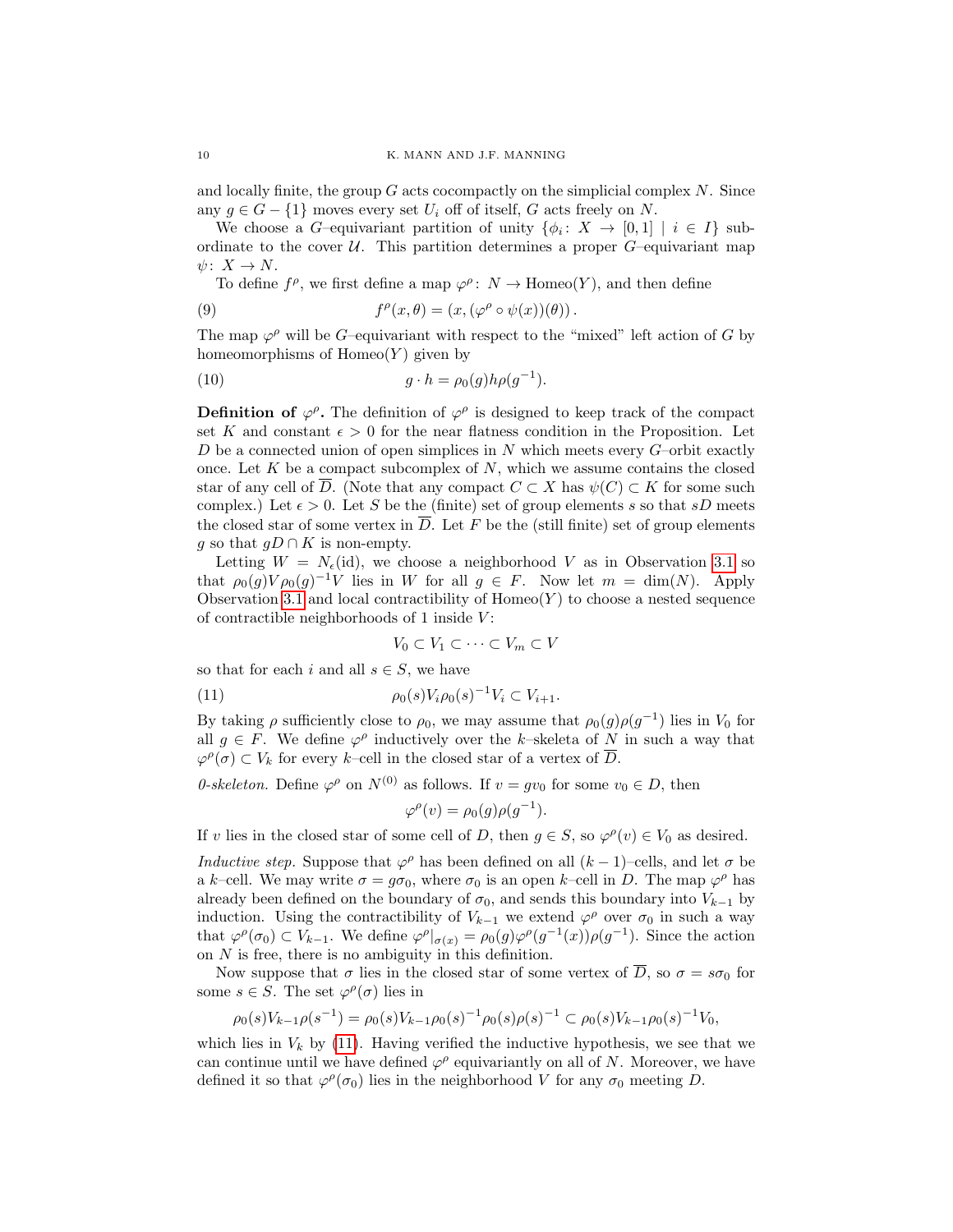and locally finite, the group  $G$  acts cocompactly on the simplicial complex  $N$ . Since any  $q \in G - \{1\}$  moves every set  $U_i$  off of itself, G acts freely on N.

We choose a G-equivariant partition of unity  $\{\phi_i: X \to [0,1] \mid i \in I\}$  subordinate to the cover  $U$ . This partition determines a proper  $G$ –equivariant map  $\psi\colon X\to N$ .

<span id="page-9-1"></span>To define  $f^{\rho}$ , we first define a map  $\varphi^{\rho}$ :  $N \to \text{Homeo}(Y)$ , and then define

(9) 
$$
f^{\rho}(x,\theta) = (x, (\varphi^{\rho} \circ \psi(x))(\theta)).
$$

The map  $\varphi^{\rho}$  will be G-equivariant with respect to the "mixed" left action of G by homeomorphisms of  $Homeo(Y)$  given by

(10) 
$$
g \cdot h = \rho_0(g)h\rho(g^{-1}).
$$

**Definition of**  $\varphi^{\rho}$ **.** The definition of  $\varphi^{\rho}$  is designed to keep track of the compact set K and constant  $\epsilon > 0$  for the near flatness condition in the Proposition. Let D be a connected union of open simplices in  $N$  which meets every  $G$ –orbit exactly once. Let  $K$  be a compact subcomplex of  $N$ , which we assume contains the closed star of any cell of  $\overline{D}$ . (Note that any compact  $C \subset X$  has  $\psi(C) \subset K$  for some such complex.) Let  $\epsilon > 0$ . Let S be the (finite) set of group elements s so that sD meets the closed star of some vertex in  $\overline{D}$ . Let F be the (still finite) set of group elements g so that  $gD \cap K$  is non-empty.

Letting  $W = N<sub>\epsilon</sub>(id)$ , we choose a neighborhood V as in Observation [3.1](#page-8-2) so that  $\rho_0(g)V\rho_0(g)^{-1}V$  lies in W for all  $g \in F$ . Now let  $m = \dim(N)$ . Apply Observation [3.1](#page-8-2) and local contractibility of  $Homeo(Y)$  to choose a nested sequence of contractible neighborhoods of 1 inside V :

<span id="page-9-0"></span>
$$
V_0 \subset V_1 \subset \cdots \subset V_m \subset V
$$

so that for each i and all  $s \in S$ , we have

(11) 
$$
\rho_0(s)V_i\rho_0(s)^{-1}V_i \subset V_{i+1}.
$$

By taking  $\rho$  sufficiently close to  $\rho_0$ , we may assume that  $\rho_0(g)\rho(g^{-1})$  lies in  $V_0$  for all  $g \in F$ . We define  $\varphi^{\rho}$  inductively over the k-skeleta of N in such a way that  $\varphi^{\rho}(\sigma) \subset V_k$  for every k-cell in the closed star of a vertex of  $\overline{D}$ .

0-skeleton. Define  $\varphi^{\rho}$  on  $N^{(0)}$  as follows. If  $v = gv_0$  for some  $v_0 \in D$ , then

 $\varphi^{\rho}(v) = \rho_0(g)\rho(g^{-1}).$ 

If v lies in the closed star of some cell of D, then  $g \in S$ , so  $\varphi^{\rho}(v) \in V_0$  as desired.

*Inductive step.* Suppose that  $\varphi^{\rho}$  has been defined on all  $(k-1)$ –cells, and let  $\sigma$  be a k–cell. We may write  $\sigma = g\sigma_0$ , where  $\sigma_0$  is an open k–cell in D. The map  $\varphi^{\rho}$  has already been defined on the boundary of  $\sigma_0$ , and sends this boundary into  $V_{k-1}$  by induction. Using the contractibility of  $V_{k-1}$  we extend  $\varphi^{\rho}$  over  $\sigma_0$  in such a way that  $\varphi^{\rho}(\sigma_0) \subset V_{k-1}$ . We define  $\varphi^{\rho}|_{\sigma(x)} = \rho_0(g)\varphi^{\rho}(g^{-1}(x))\rho(g^{-1})$ . Since the action on  $N$  is free, there is no ambiguity in this definition.

Now suppose that  $\sigma$  lies in the closed star of some vertex of  $\overline{D}$ , so  $\sigma = s\sigma_0$  for some  $s \in S$ . The set  $\varphi^{\rho}(\sigma)$  lies in

$$
\rho_0(s)V_{k-1}\rho(s^{-1}) = \rho_0(s)V_{k-1}\rho_0(s)^{-1}\rho_0(s)\rho(s)^{-1} \subset \rho_0(s)V_{k-1}\rho_0(s)^{-1}V_0,
$$

which lies in  $V_k$  by [\(11\)](#page-9-0). Having verified the inductive hypothesis, we see that we can continue until we have defined  $\varphi^{\rho}$  equivariantly on all of N. Moreover, we have defined it so that  $\varphi^{\rho}(\sigma_0)$  lies in the neighborhood V for any  $\sigma_0$  meeting D.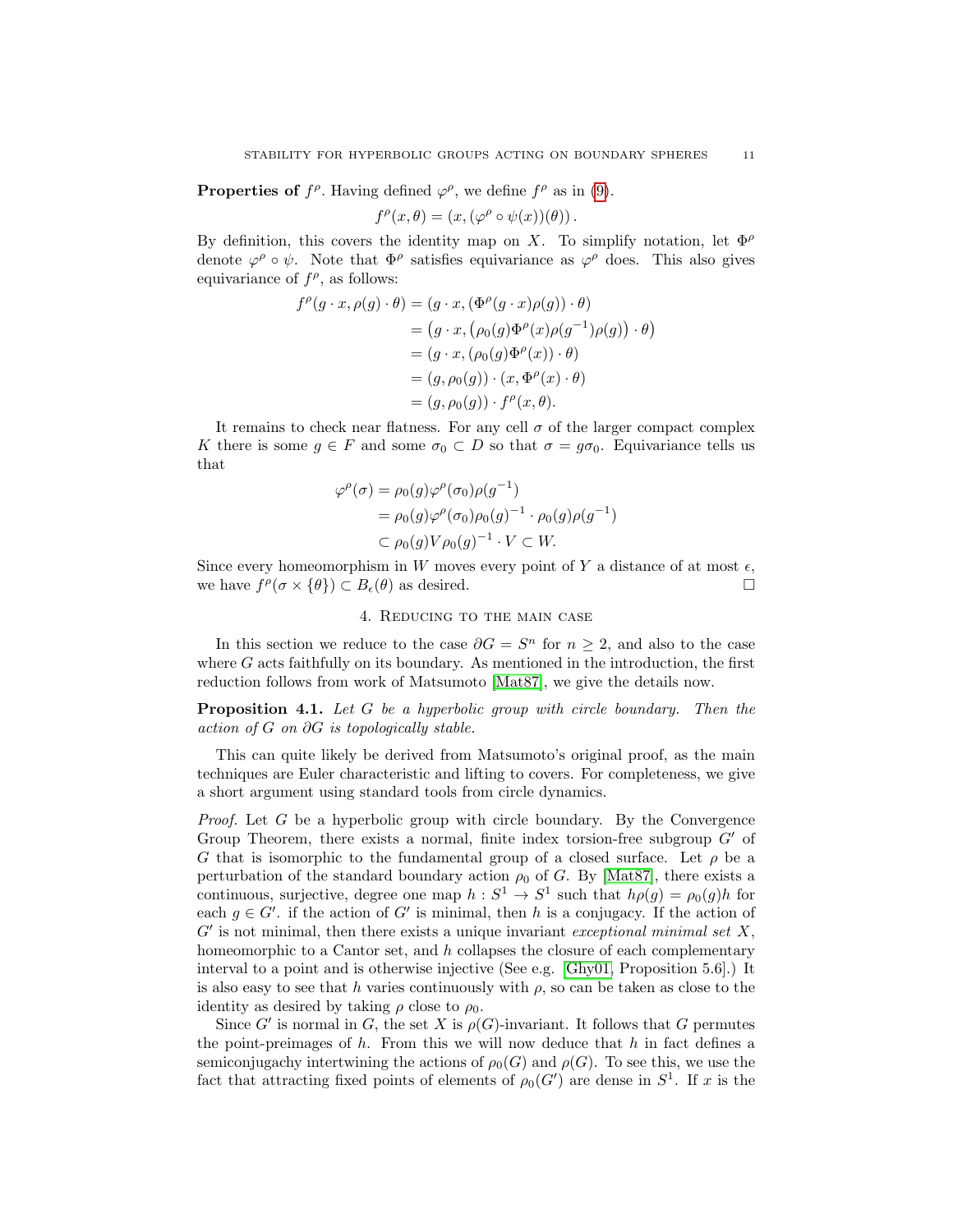**Properties of**  $f^{\rho}$ . Having defined  $\varphi^{\rho}$ , we define  $f^{\rho}$  as in [\(9\)](#page-9-1).

$$
f^{\rho}(x,\theta) = (x, (\varphi^{\rho} \circ \psi(x))(\theta)).
$$

By definition, this covers the identity map on X. To simplify notation, let  $\Phi^{\rho}$ denote  $\varphi^{\rho} \circ \psi$ . Note that  $\Phi^{\rho}$  satisfies equivariance as  $\varphi^{\rho}$  does. This also gives equivariance of  $f^{\rho}$ , as follows:

$$
f^{\rho}(g \cdot x, \rho(g) \cdot \theta) = (g \cdot x, (\Phi^{\rho}(g \cdot x)\rho(g)) \cdot \theta)
$$
  
=  $(g \cdot x, (\rho_0(g)\Phi^{\rho}(x)\rho(g^{-1})\rho(g)) \cdot \theta)$   
=  $(g \cdot x, (\rho_0(g)\Phi^{\rho}(x)) \cdot \theta)$   
=  $(g, \rho_0(g)) \cdot (x, \Phi^{\rho}(x) \cdot \theta)$   
=  $(g, \rho_0(g)) \cdot f^{\rho}(x, \theta).$ 

It remains to check near flatness. For any cell  $\sigma$  of the larger compact complex K there is some  $g \in F$  and some  $\sigma_0 \subset D$  so that  $\sigma = g\sigma_0$ . Equivariance tells us that

$$
\varphi^{\rho}(\sigma) = \rho_0(g)\varphi^{\rho}(\sigma_0)\rho(g^{-1})
$$
  
= 
$$
\rho_0(g)\varphi^{\rho}(\sigma_0)\rho_0(g)^{-1} \cdot \rho_0(g)\rho(g^{-1})
$$
  

$$
\subset \rho_0(g)V\rho_0(g)^{-1} \cdot V \subset W.
$$

Since every homeomorphism in W moves every point of Y a distance of at most  $\epsilon$ , we have  $f^{\rho}(\sigma \times {\{\theta\}}) \subset B_{\epsilon}(\theta)$  as desired.

## 4. Reducing to the main case

<span id="page-10-0"></span>In this section we reduce to the case  $\partial G = S^n$  for  $n \geq 2$ , and also to the case where  $G$  acts faithfully on its boundary. As mentioned in the introduction, the first reduction follows from work of Matsumoto [\[Mat87\]](#page-26-2), we give the details now.

**Proposition 4.1.** Let G be a hyperbolic group with circle boundary. Then the action of  $G$  on  $\partial G$  is topologically stable.

This can quite likely be derived from Matsumoto's original proof, as the main techniques are Euler characteristic and lifting to covers. For completeness, we give a short argument using standard tools from circle dynamics.

*Proof.* Let  $G$  be a hyperbolic group with circle boundary. By the Convergence Group Theorem, there exists a normal, finite index torsion-free subgroup  $G'$  of G that is isomorphic to the fundamental group of a closed surface. Let  $\rho$  be a perturbation of the standard boundary action  $\rho_0$  of G. By [\[Mat87\]](#page-26-2), there exists a continuous, surjective, degree one map  $h: S^1 \to S^1$  such that  $h \rho(g) = \rho_0(g)h$  for each  $g \in G'$ . if the action of G' is minimal, then h is a conjugacy. If the action of  $G'$  is not minimal, then there exists a unique invariant exceptional minimal set  $X$ , homeomorphic to a Cantor set, and  $h$  collapses the closure of each complementary interval to a point and is otherwise injective (See e.g. [\[Ghy01,](#page-26-7) Proposition 5.6].) It is also easy to see that h varies continuously with  $\rho$ , so can be taken as close to the identity as desired by taking  $\rho$  close to  $\rho_0$ .

Since G' is normal in G, the set X is  $\rho(G)$ -invariant. It follows that G permutes the point-preimages of  $h$ . From this we will now deduce that  $h$  in fact defines a semiconjugachy intertwining the actions of  $\rho_0(G)$  and  $\rho(G)$ . To see this, we use the fact that attracting fixed points of elements of  $\rho_0(G')$  are dense in  $S^1$ . If x is the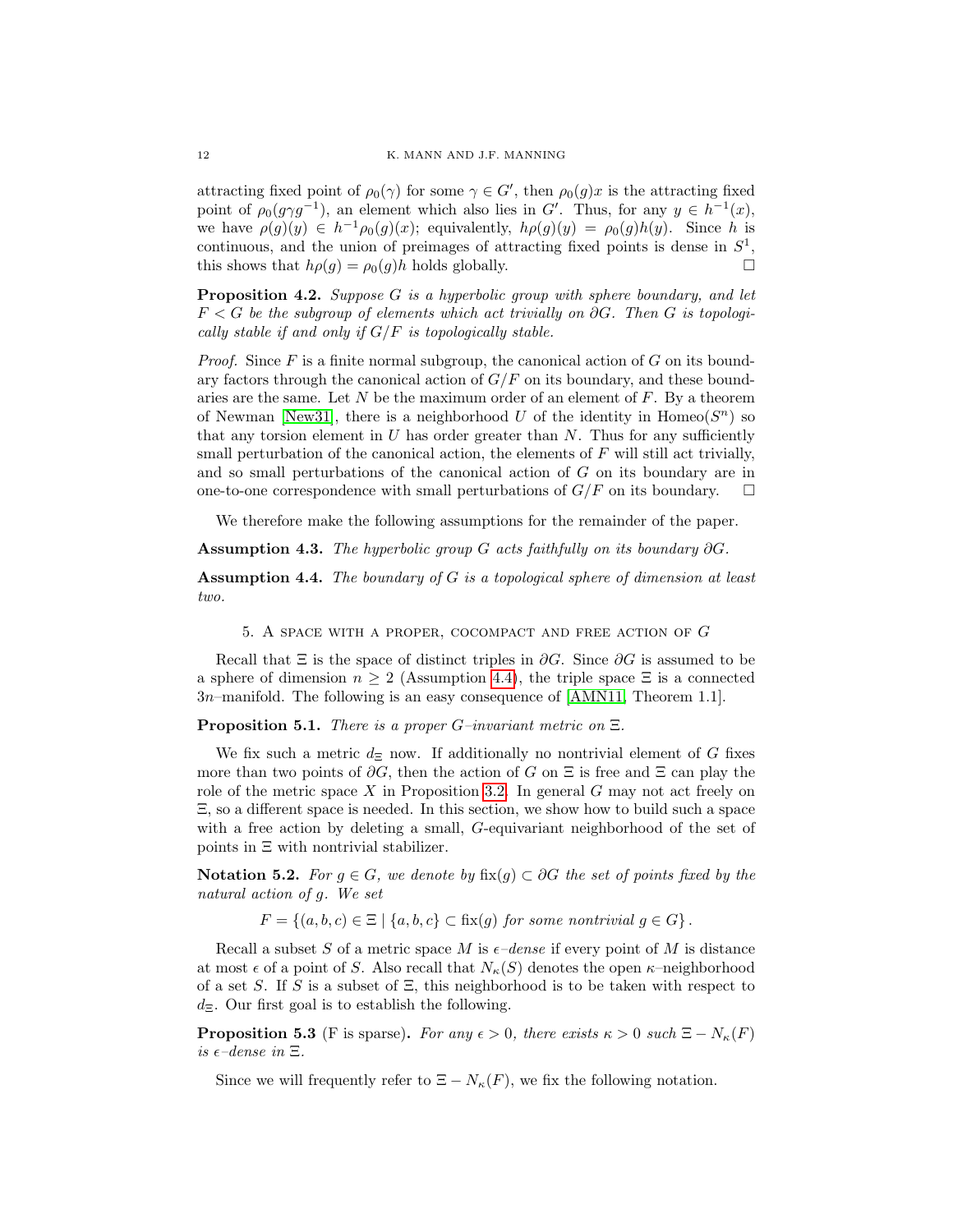attracting fixed point of  $\rho_0(\gamma)$  for some  $\gamma \in G'$ , then  $\rho_0(g)x$  is the attracting fixed point of  $\rho_0(g\gamma g^{-1})$ , an element which also lies in G'. Thus, for any  $y \in h^{-1}(x)$ , we have  $\rho(g)(y) \in h^{-1}\rho_0(g)(x)$ ; equivalently,  $h\rho(g)(y) = \rho_0(g)h(y)$ . Since h is continuous, and the union of preimages of attracting fixed points is dense in  $S^1$ , this shows that  $h\rho(g) = \rho_0(g)h$  holds globally.

**Proposition 4.2.** Suppose G is a hyperbolic group with sphere boundary, and let  $F < G$  be the subgroup of elements which act trivially on  $\partial G$ . Then G is topologically stable if and only if  $G/F$  is topologically stable.

*Proof.* Since F is a finite normal subgroup, the canonical action of G on its boundary factors through the canonical action of  $G/F$  on its boundary, and these boundaries are the same. Let N be the maximum order of an element of  $F$ . By a theorem of Newman [\[New31\]](#page-26-8), there is a neighborhood U of the identity in Homeo( $S<sup>n</sup>$ ) so that any torsion element in  $U$  has order greater than  $N$ . Thus for any sufficiently small perturbation of the canonical action, the elements of  $F$  will still act trivially, and so small perturbations of the canonical action of G on its boundary are in one-to-one correspondence with small perturbations of  $G/F$  on its boundary.  $\square$ 

We therefore make the following assumptions for the remainder of the paper.

<span id="page-11-3"></span>Assumption 4.3. The hyperbolic group G acts faithfully on its boundary  $\partial G$ .

<span id="page-11-1"></span>Assumption 4.4. The boundary of G is a topological sphere of dimension at least two.

5. A SPACE WITH A PROPER, COCOMPACT AND FREE ACTION OF  $G$ 

<span id="page-11-0"></span>Recall that  $\Xi$  is the space of distinct triples in  $\partial G$ . Since  $\partial G$  is assumed to be a sphere of dimension  $n \geq 2$  (Assumption [4.4\)](#page-11-1), the triple space  $\Xi$  is a connected 3n–manifold. The following is an easy consequence of [\[AMN11,](#page-25-7) Theorem 1.1].

**Proposition 5.1.** There is a proper  $G$ –invariant metric on  $\Xi$ .

We fix such a metric  $d_{\Xi}$  now. If additionally no nontrivial element of G fixes more than two points of  $\partial G$ , then the action of G on  $\Xi$  is free and  $\Xi$  can play the role of the metric space X in Proposition [3.2.](#page-8-1) In general  $G$  may not act freely on Ξ, so a different space is needed. In this section, we show how to build such a space with a free action by deleting a small, G-equivariant neighborhood of the set of points in Ξ with nontrivial stabilizer.

Notation 5.2. For  $g \in G$ , we denote by fix $(g) \subset \partial G$  the set of points fixed by the natural action of g. We set

 $F = \{(a, b, c) \in \Xi \mid \{a, b, c\} \subset \text{fix}(q) \text{ for some nontrivial } q \in G\}.$ 

Recall a subset S of a metric space M is  $\epsilon$ -dense if every point of M is distance at most  $\epsilon$  of a point of S. Also recall that  $N_{\kappa}(S)$  denotes the open  $\kappa$ -neighborhood of a set S. If S is a subset of  $\Xi$ , this neighborhood is to be taken with respect to  $d_{\Xi}$ . Our first goal is to establish the following.

<span id="page-11-2"></span>**Proposition 5.3** (F is sparse). For any  $\epsilon > 0$ , there exists  $\kappa > 0$  such  $\Xi - N_{\kappa}(F)$ is  $\epsilon$ -dense in  $\Xi$ .

Since we will frequently refer to  $\Xi - N_{\kappa}(F)$ , we fix the following notation.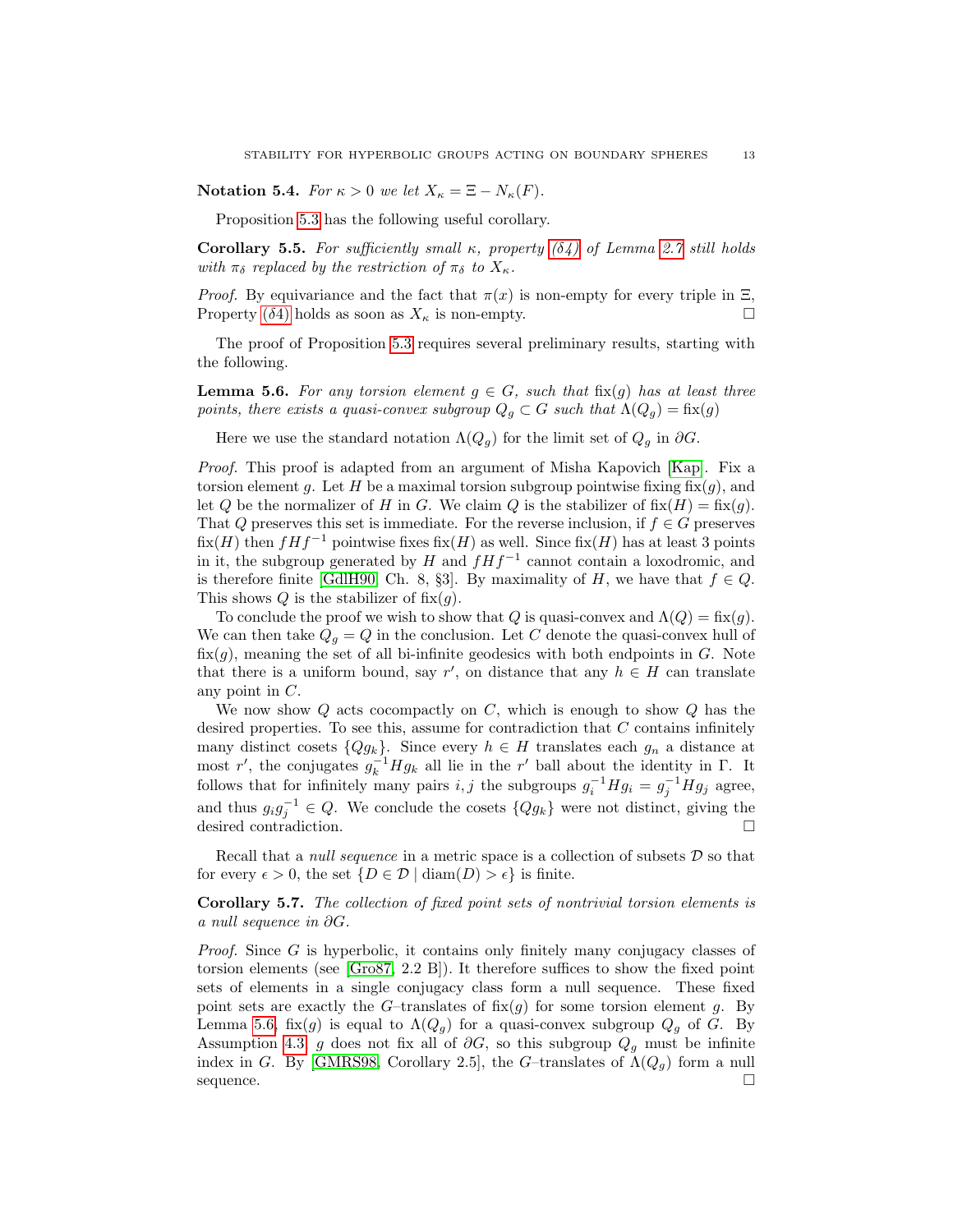Notation 5.4. For  $\kappa > 0$  we let  $X_{\kappa} = \Xi - N_{\kappa}(F)$ .

Proposition [5.3](#page-11-2) has the following useful corollary.

<span id="page-12-2"></span>Corollary 5.5. For sufficiently small κ, property  $(\delta 4)$  $(\delta 4)$  of Lemma [2.7](#page-4-5) still holds with  $\pi_{\delta}$  replaced by the restriction of  $\pi_{\delta}$  to  $X_{\kappa}$ .

*Proof.* By equivariance and the fact that  $\pi(x)$  is non-empty for every triple in  $\Xi$ , Property ( $\delta$ [4\)](#page-4-3) holds as soon as  $X_{\kappa}$  is non-empty.

The proof of Proposition [5.3](#page-11-2) requires several preliminary results, starting with the following.

<span id="page-12-0"></span>**Lemma 5.6.** For any torsion element  $g \in G$ , such that fix(q) has at least three points, there exists a quasi-convex subgroup  $Q_q \subset G$  such that  $\Lambda(Q_q) = \text{fix}(g)$ 

Here we use the standard notation  $\Lambda(Q_q)$  for the limit set of  $Q_q$  in  $\partial G$ .

Proof. This proof is adapted from an argument of Misha Kapovich [\[Kap\]](#page-26-9). Fix a torsion element g. Let H be a maximal torsion subgroup pointwise fixing  $fix(g)$ , and let Q be the normalizer of H in G. We claim Q is the stabilizer of  $fix(H) = fix(g)$ . That Q preserves this set is immediate. For the reverse inclusion, if  $f \in G$  preserves  $fix(H)$  then  $fHf^{-1}$  pointwise fixes  $fix(H)$  as well. Since  $fix(H)$  has at least 3 points in it, the subgroup generated by  $H$  and  $fHf^{-1}$  cannot contain a loxodromic, and is therefore finite [\[GdlH90,](#page-26-3) Ch. 8, §3]. By maximality of H, we have that  $f \in Q$ . This shows Q is the stabilizer of  $fix(g)$ .

To conclude the proof we wish to show that Q is quasi-convex and  $\Lambda(Q) = \text{fix}(g)$ . We can then take  $Q_q = Q$  in the conclusion. Let C denote the quasi-convex hull of  $fix(g)$ , meaning the set of all bi-infinite geodesics with both endpoints in G. Note that there is a uniform bound, say r', on distance that any  $h \in H$  can translate any point in C.

We now show  $Q$  acts cocompactly on  $C$ , which is enough to show  $Q$  has the desired properties. To see this, assume for contradiction that  $C$  contains infinitely many distinct cosets  ${Qg_k}$ . Since every  $h \in H$  translates each  $g_n$  a distance at most r', the conjugates  $g_k^{-1}Hg_k$  all lie in the r' ball about the identity in  $\Gamma$ . It follows that for infinitely many pairs  $i, j$  the subgroups  $g_i^{-1} H g_i = g_j^{-1} H g_j$  agree, and thus  $g_i g_j^{-1} \in Q$ . We conclude the cosets  $\{Qg_k\}$  were not distinct, giving the desired contradiction.

Recall that a *null sequence* in a metric space is a collection of subsets  $D$  so that for every  $\epsilon > 0$ , the set  $\{D \in \mathcal{D} \mid \text{diam}(D) > \epsilon\}$  is finite.

<span id="page-12-1"></span>Corollary 5.7. The collection of fixed point sets of nontrivial torsion elements is a null sequence in ∂G.

Proof. Since G is hyperbolic, it contains only finitely many conjugacy classes of torsion elements (see [\[Gro87,](#page-26-5) 2.2 B]). It therefore suffices to show the fixed point sets of elements in a single conjugacy class form a null sequence. These fixed point sets are exactly the G-translates of  $fix(g)$  for some torsion element g. By Lemma [5.6,](#page-12-0) fix(g) is equal to  $\Lambda(Q_g)$  for a quasi-convex subgroup  $Q_g$  of G. By Assumption [4.3,](#page-11-3) g does not fix all of  $\partial G$ , so this subgroup  $Q_g$  must be infinite index in G. By [\[GMRS98,](#page-26-10) Corollary 2.5], the G-translates of  $\Lambda(Q_g)$  form a null  $\Box$  sequence.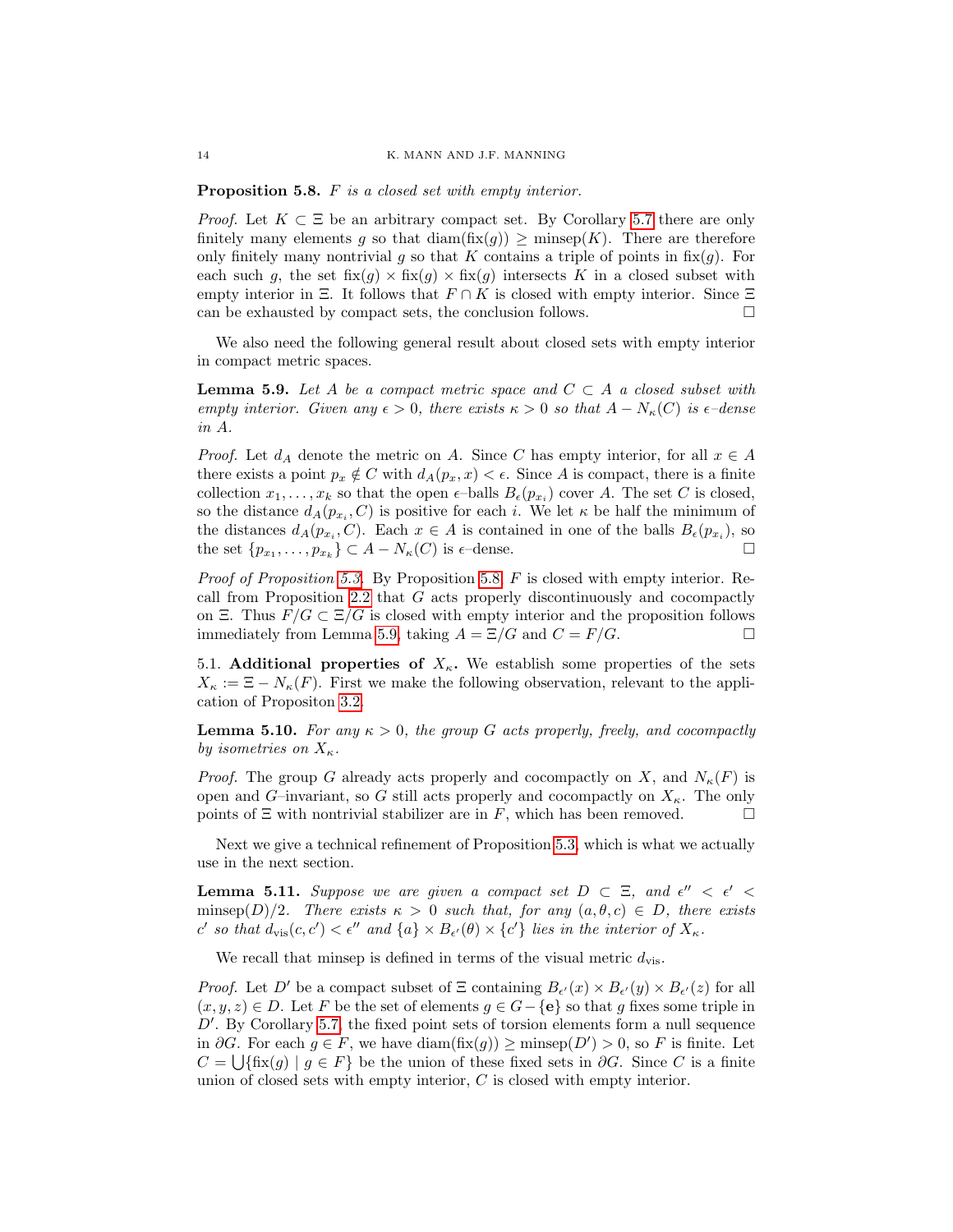<span id="page-13-0"></span>Proposition 5.8. F is a closed set with empty interior.

*Proof.* Let  $K \subset \Xi$  be an arbitrary compact set. By Corollary [5.7](#page-12-1) there are only finitely many elements g so that  $\text{diam}(\text{fix}(g)) \geq \text{minsep}(K)$ . There are therefore only finitely many nontrivial g so that K contains a triple of points in  $fix(g)$ . For each such g, the set  $f(x|g) \times f(x|g) \times f(x|g)$  intersects K in a closed subset with empty interior in Ξ. It follows that  $F \cap K$  is closed with empty interior. Since  $\Xi$ can be exhausted by compact sets, the conclusion follows.  $\Box$ 

We also need the following general result about closed sets with empty interior in compact metric spaces.

<span id="page-13-1"></span>**Lemma 5.9.** Let A be a compact metric space and  $C \subset A$  a closed subset with empty interior. Given any  $\epsilon > 0$ , there exists  $\kappa > 0$  so that  $A - N_{\kappa}(C)$  is  $\epsilon$ -dense in A.

*Proof.* Let  $d_A$  denote the metric on A. Since C has empty interior, for all  $x \in A$ there exists a point  $p_x \notin C$  with  $d_A(p_x, x) < \epsilon$ . Since A is compact, there is a finite collection  $x_1, \ldots, x_k$  so that the open  $\epsilon$ -balls  $B_{\epsilon}(p_{x_i})$  cover A. The set C is closed, so the distance  $d_A(p_{x_i}, C)$  is positive for each i. We let  $\kappa$  be half the minimum of the distances  $d_A(p_{x_i}, C)$ . Each  $x \in A$  is contained in one of the balls  $B_{\epsilon}(p_{x_i})$ , so the set  $\{p_{x_1}, \ldots, p_{x_k}\} \subset A - N_{\kappa}(C)$  is  $\epsilon$ -dense.

Proof of Proposition [5.3.](#page-11-2) By Proposition [5.8,](#page-13-0) F is closed with empty interior. Recall from Proposition [2.2](#page-3-3) that G acts properly discontinuously and cocompactly on Ξ. Thus  $F/G \subset \Xi/G$  is closed with empty interior and the proposition follows immediately from Lemma [5.9,](#page-13-1) taking  $A = \Xi/G$  and  $C = F/G$ .

5.1. Additional properties of  $X_{\kappa}$ . We establish some properties of the sets  $X_{\kappa} := \Xi - N_{\kappa}(F)$ . First we make the following observation, relevant to the application of Propositon [3.2.](#page-8-1)

**Lemma 5.10.** For any  $\kappa > 0$ , the group G acts properly, freely, and cocompactly by isometries on  $X_{\kappa}$ .

*Proof.* The group G already acts properly and cocompactly on X, and  $N_{\kappa}(F)$  is open and G–invariant, so G still acts properly and cocompactly on  $X_{\kappa}$ . The only points of  $\Xi$  with nontrivial stabilizer are in F, which has been removed.  $\square$ 

Next we give a technical refinement of Proposition [5.3,](#page-11-2) which is what we actually use in the next section.

<span id="page-13-2"></span>**Lemma 5.11.** Suppose we are given a compact set  $D \subset \Xi$ , and  $\epsilon'' < \epsilon' <$ minsep(D)/2. There exists  $\kappa > 0$  such that, for any  $(a, \theta, c) \in D$ , there exists c' so that  $d_{\text{vis}}(c, c') < \epsilon''$  and  $\{a\} \times B_{\epsilon'}(\theta) \times \{c'\}$  lies in the interior of  $X_{\kappa}$ .

We recall that minsep is defined in terms of the visual metric  $d_{\text{vis}}$ .

*Proof.* Let D' be a compact subset of  $\Xi$  containing  $B_{\epsilon'}(x) \times B_{\epsilon'}(y) \times B_{\epsilon'}(z)$  for all  $(x, y, z) \in D$ . Let F be the set of elements  $g \in G - \{e\}$  so that g fixes some triple in  $D'$ . By Corollary [5.7,](#page-12-1) the fixed point sets of torsion elements form a null sequence in ∂G. For each  $g \in F$ , we have diam(fix(g)) ≥ minsep(D') > 0, so F is finite. Let  $C = \bigcup \{\text{fix}(g) \mid g \in F\}$  be the union of these fixed sets in  $\partial G$ . Since C is a finite union of closed sets with empty interior, C is closed with empty interior.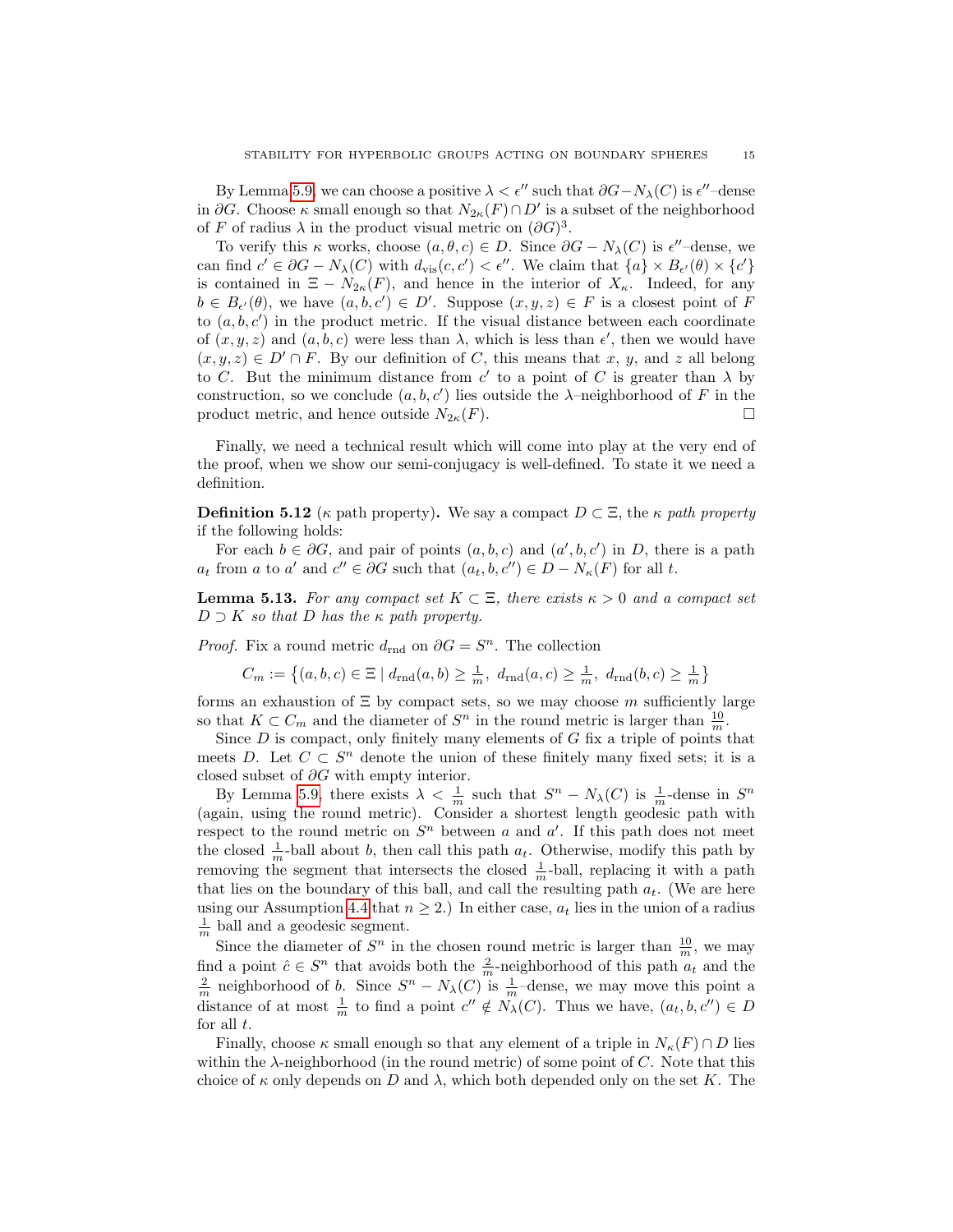By Lemma [5.9,](#page-13-1) we can choose a positive  $\lambda < \epsilon''$  such that  $\partial G - N_{\lambda}(C)$  is  $\epsilon''$ -dense in  $\partial G$ . Choose  $\kappa$  small enough so that  $N_{2\kappa}(F) \cap D'$  is a subset of the neighborhood of F of radius  $\lambda$  in the product visual metric on  $(\partial G)^3$ .

To verify this  $\kappa$  works, choose  $(a, \theta, c) \in D$ . Since  $\partial G - N_{\lambda}(C)$  is  $\epsilon''$ -dense, we can find  $c' \in \partial G - N_{\lambda}(C)$  with  $d_{\text{vis}}(c, c') < \epsilon''$ . We claim that  $\{a\} \times B_{\epsilon'}(\theta) \times \{c'\}$ is contained in  $\Xi - N_{2\kappa}(F)$ , and hence in the interior of  $X_{\kappa}$ . Indeed, for any  $b \in B_{\epsilon'}(\theta)$ , we have  $(a, b, c') \in D'$ . Suppose  $(x, y, z) \in F$  is a closest point of F to  $(a, b, c')$  in the product metric. If the visual distance between each coordinate of  $(x, y, z)$  and  $(a, b, c)$  were less than  $\lambda$ , which is less than  $\epsilon'$ , then we would have  $(x, y, z) \in D' \cap F$ . By our definition of C, this means that x, y, and z all belong to C. But the minimum distance from c' to a point of C is greater than  $\lambda$  by construction, so we conclude  $(a, b, c')$  lies outside the  $\lambda$ -neighborhood of F in the product metric, and hence outside  $N_{2\kappa}(F)$ .

Finally, we need a technical result which will come into play at the very end of the proof, when we show our semi-conjugacy is well-defined. To state it we need a definition.

**Definition 5.12** (κ path property). We say a compact  $D \subset \Xi$ , the  $\kappa$  path property if the following holds:

For each  $b \in \partial G$ , and pair of points  $(a, b, c)$  and  $(a', b, c')$  in D, there is a path  $a_t$  from a to a' and  $c'' \in \partial G$  such that  $(a_t, b, c'') \in D - N_{\kappa}(F)$  for all t.

<span id="page-14-0"></span>**Lemma 5.13.** For any compact set  $K \subset \Xi$ , there exists  $\kappa > 0$  and a compact set  $D \supset K$  so that D has the  $\kappa$  path property.

*Proof.* Fix a round metric  $d_{\text{rnd}}$  on  $\partial G = S^n$ . The collection

$$
C_m := \left\{ (a, b, c) \in \Xi \mid d_{\text{rnd}}(a, b) \ge \frac{1}{m}, \ d_{\text{rnd}}(a, c) \ge \frac{1}{m}, \ d_{\text{rnd}}(b, c) \ge \frac{1}{m} \right\}
$$

forms an exhaustion of  $\Xi$  by compact sets, so we may choose m sufficiently large so that  $K \subset C_m$  and the diameter of  $S^n$  in the round metric is larger than  $\frac{10}{m}$ .

Since  $D$  is compact, only finitely many elements of  $G$  fix a triple of points that meets D. Let  $C \subset S^n$  denote the union of these finitely many fixed sets; it is a closed subset of  $\partial G$  with empty interior.

By Lemma [5.9,](#page-13-1) there exists  $\lambda < \frac{1}{m}$  such that  $S<sup>n</sup> - N<sub>\lambda</sub>(C)$  is  $\frac{1}{m}$ -dense in  $S<sup>n</sup>$ (again, using the round metric). Consider a shortest length geodesic path with respect to the round metric on  $S<sup>n</sup>$  between a and a'. If this path does not meet the closed  $\frac{1}{m}$ -ball about b, then call this path  $a_t$ . Otherwise, modify this path by removing the segment that intersects the closed  $\frac{1}{m}$ -ball, replacing it with a path that lies on the boundary of this ball, and call the resulting path  $a_t$ . (We are here using our Assumption [4.4](#page-11-1) that  $n \geq 2$ .) In either case,  $a_t$  lies in the union of a radius  $\frac{1}{m}$  ball and a geodesic segment.

Since the diameter of  $S<sup>n</sup>$  in the chosen round metric is larger than  $\frac{10}{m}$ , we may find a point  $\hat{c} \in S^n$  that avoids both the  $\frac{2}{m}$ -neighborhood of this path  $a_t$  and the  $\frac{2}{m}$  neighborhood of b. Since  $S^n - N_\lambda(C)$  is  $\frac{1}{m}$ -dense, we may move this point a distance of at most  $\frac{1}{m}$  to find a point  $c'' \notin N_\lambda(C)$ . Thus we have,  $(a_t, b, c'') \in D$ for all  $t$ .

Finally, choose  $\kappa$  small enough so that any element of a triple in  $N_{\kappa}(F) \cap D$  lies within the  $\lambda$ -neighborhood (in the round metric) of some point of C. Note that this choice of  $\kappa$  only depends on D and  $\lambda$ , which both depended only on the set K. The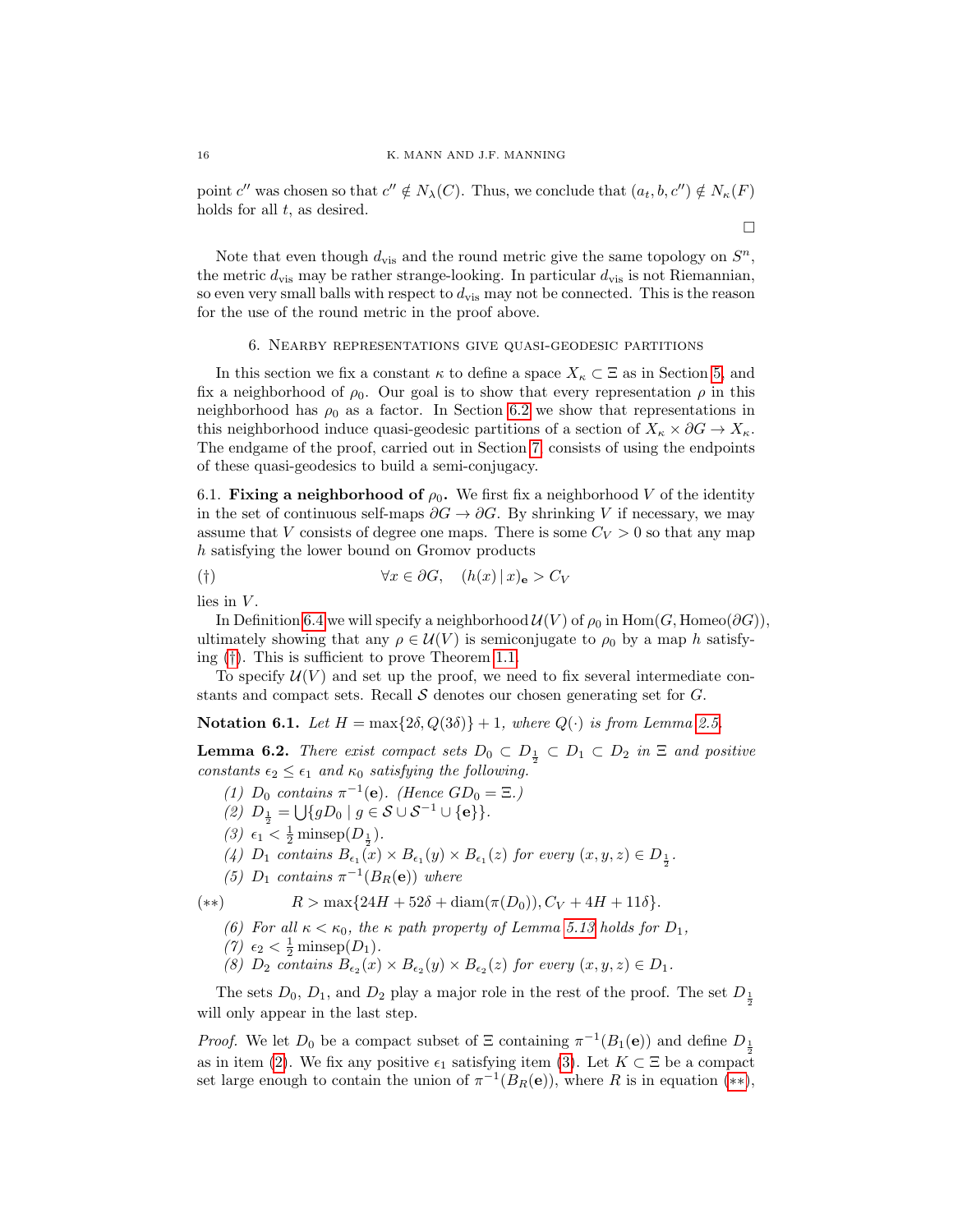point c'' was chosen so that  $c'' \notin N_\lambda(C)$ . Thus, we conclude that  $(a_t, b, c'') \notin N_\kappa(F)$ holds for all  $t$ , as desired.

 $\Box$ 

Note that even though  $d_{\text{vis}}$  and the round metric give the same topology on  $S<sup>n</sup>$ , the metric  $d_{\text{vis}}$  may be rather strange-looking. In particular  $d_{\text{vis}}$  is not Riemannian, so even very small balls with respect to  $d_{\text{vis}}$  may not be connected. This is the reason for the use of the round metric in the proof above.

#### 6. Nearby representations give quasi-geodesic partitions

<span id="page-15-0"></span>In this section we fix a constant  $\kappa$  to define a space  $X_{\kappa} \subset \Xi$  as in Section [5,](#page-11-0) and fix a neighborhood of  $\rho_0$ . Our goal is to show that every representation  $\rho$  in this neighborhood has  $\rho_0$  as a factor. In Section [6.2](#page-17-0) we show that representations in this neighborhood induce quasi-geodesic partitions of a section of  $X_{\kappa} \times \partial G \to X_{\kappa}$ . The endgame of the proof, carried out in Section [7,](#page-20-0) consists of using the endpoints of these quasi-geodesics to build a semi-conjugacy.

<span id="page-15-7"></span>6.1. Fixing a neighborhood of  $\rho_0$ . We first fix a neighborhood V of the identity in the set of continuous self-maps  $\partial G \to \partial G$ . By shrinking V if necessary, we may assume that V consists of degree one maps. There is some  $C_V > 0$  so that any map h satisfying the lower bound on Gromov products

<span id="page-15-1"></span>
$$
(\dagger) \qquad \forall x \in \partial G, \quad (h(x) \, | \, x)_{\mathbf{e}} > C_V
$$

lies in  $V$ .

In Definition [6.4](#page-16-0) we will specify a neighborhood  $\mathcal{U}(V)$  of  $\rho_0$  in Hom(G, Homeo( $\partial G$ )), ultimately showing that any  $\rho \in \mathcal{U}(V)$  is semiconjugate to  $\rho_0$  by a map h satisfying ([†](#page-15-1)). This is sufficient to prove Theorem [1.1.](#page-0-0)

To specify  $U(V)$  and set up the proof, we need to fix several intermediate constants and compact sets. Recall  $S$  denotes our chosen generating set for  $G$ .

Notation 6.1. Let  $H = \max\{2\delta, Q(3\delta)\} + 1$ , where  $Q(\cdot)$  is from Lemma [2.5.](#page-3-4)

<span id="page-15-5"></span>**Lemma 6.2.** There exist compact sets  $D_0 \subset D_{\frac{1}{2}} \subset D_1 \subset D_2$  in  $\Xi$  and positive constants  $\epsilon_2 \leq \epsilon_1$  and  $\kappa_0$  satisfying the following.

- (1)  $D_0$  contains  $\pi^{-1}(e)$ . (Hence  $GD_0 = \Xi$ .)
- <span id="page-15-2"></span>(2)  $D_{\frac{1}{2}} = \bigcup \{ gD_0 \mid g \in \mathcal{S} \cup \mathcal{S}^{-1} \cup \{e\} \}.$
- <span id="page-15-3"></span>(3)  $\epsilon_1 < \frac{1}{2}$  minsep( $D_{\frac{1}{2}}$ ).
- <span id="page-15-6"></span>(4)  $D_1$  contains  $B_{\epsilon_1}(x) \times B_{\epsilon_1}(y) \times B_{\epsilon_1}(z)$  for every  $(x, y, z) \in D_{\frac{1}{2}}$ .
- (5)  $D_1$  contains  $\pi^{-1}(B_R(e))$  where

<span id="page-15-8"></span><span id="page-15-4"></span>(\*\*)  $R > \max\{24H + 52\delta + \text{diam}(\pi(D_0)), C_V + 4H + 11\delta\}.$ 

- (6) For all  $\kappa < \kappa_0$ , the  $\kappa$  path property of Lemma [5.13](#page-14-0) holds for  $D_1$ ,
- (7)  $\epsilon_2 < \frac{1}{2}$  minsep(D<sub>1</sub>).
- (8)  $D_2$  contains  $B_{\epsilon_2}(x) \times B_{\epsilon_2}(y) \times B_{\epsilon_2}(z)$  for every  $(x, y, z) \in D_1$ .

The sets  $D_0$ ,  $D_1$ , and  $D_2$  play a major role in the rest of the proof. The set  $D_{\frac{1}{2}}$ will only appear in the last step.

*Proof.* We let  $D_0$  be a compact subset of  $\Xi$  containing  $\pi^{-1}(B_1(\mathbf{e}))$  and define  $D_{\frac{1}{2}}$ as in item [\(2\)](#page-15-2). We fix any positive  $\epsilon_1$  satisfying item [\(3\)](#page-15-3). Let  $K \subset \Xi$  be a compact set large enough to contain the union of  $\pi^{-1}(B_R(e))$ , where R is in equation (\*\*),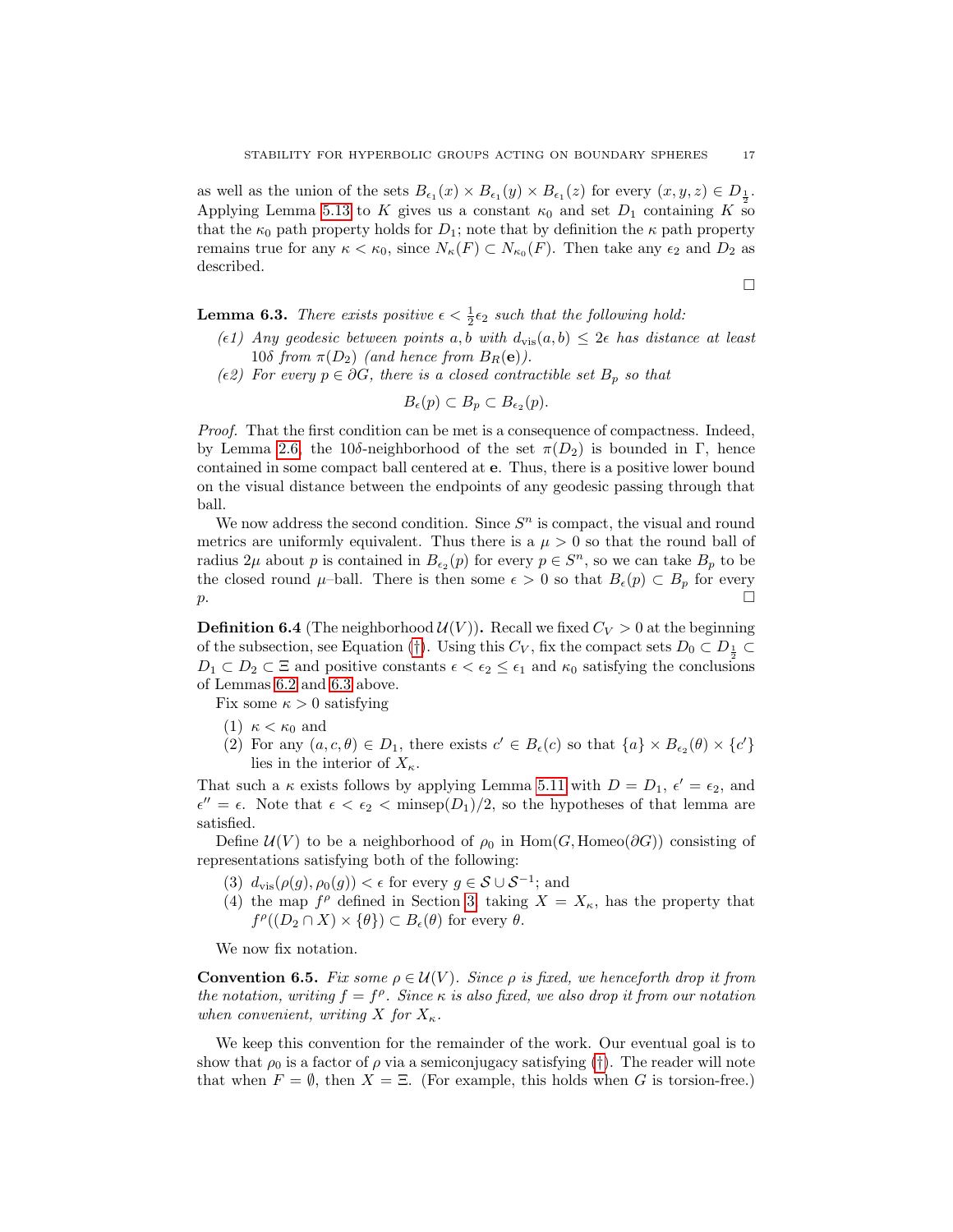as well as the union of the sets  $B_{\epsilon_1}(x) \times B_{\epsilon_1}(y) \times B_{\epsilon_1}(z)$  for every  $(x, y, z) \in D_{\frac{1}{2}}$ . Applying Lemma [5.13](#page-14-0) to K gives us a constant  $\kappa_0$  and set  $D_1$  containing K so that the  $\kappa_0$  path property holds for  $D_1$ ; note that by definition the  $\kappa$  path property remains true for any  $\kappa < \kappa_0$ , since  $N_{\kappa}(F) \subset N_{\kappa_0}(F)$ . Then take any  $\epsilon_2$  and  $D_2$  as described.

 $\Box$ 

<span id="page-16-1"></span>**Lemma 6.3.** There exists positive  $\epsilon < \frac{1}{2} \epsilon_2$  such that the following hold:

- <span id="page-16-4"></span>( $\epsilon$ 1) Any geodesic between points a, b with  $d_{\text{vis}}(a, b) \leq 2\epsilon$  has distance at least 10δ from  $\pi(D_2)$  (and hence from  $B_R(e)$ ).
- <span id="page-16-5"></span> $(\epsilon 2)$  For every  $p \in \partial G$ , there is a closed contractible set  $B_p$  so that

$$
B_{\epsilon}(p) \subset B_p \subset B_{\epsilon_2}(p).
$$

Proof. That the first condition can be met is a consequence of compactness. Indeed, by Lemma [2.6,](#page-4-6) the 10δ-neighborhood of the set  $\pi(D_2)$  is bounded in Γ, hence contained in some compact ball centered at e. Thus, there is a positive lower bound on the visual distance between the endpoints of any geodesic passing through that ball.

We now address the second condition. Since  $S<sup>n</sup>$  is compact, the visual and round metrics are uniformly equivalent. Thus there is a  $\mu > 0$  so that the round ball of radius  $2\mu$  about p is contained in  $B_{\epsilon_2}(p)$  for every  $p \in S^n$ , so we can take  $B_p$  to be the closed round  $\mu$ –ball. There is then some  $\epsilon > 0$  so that  $B_{\epsilon}(p) \subset B_p$  for every  $p.$ 

<span id="page-16-0"></span>**Definition 6.4** (The neighborhood  $U(V)$ ). Recall we fixed  $C_V > 0$  at the beginning of the subsection, see Equation ([†](#page-15-1)). Using this  $C_V$ , fix the compact sets  $D_0 \subset D_{\frac{1}{2}} \subset$  $D_1 \subset D_2 \subset \Xi$  and positive constants  $\epsilon < \epsilon_2 \leq \epsilon_1$  and  $\kappa_0$  satisfying the conclusions of Lemmas [6.2](#page-15-5) and [6.3](#page-16-1) above.

Fix some  $\kappa > 0$  satisfying

- (1)  $\kappa < \kappa_0$  and
- <span id="page-16-2"></span>(2) For any  $(a, c, \theta) \in D_1$ , there exists  $c' \in B_{\epsilon}(c)$  so that  $\{a\} \times B_{\epsilon_2}(\theta) \times \{c'\}$ lies in the interior of  $X_{\kappa}$ .

That such a  $\kappa$  exists follows by applying Lemma [5.11](#page-13-2) with  $D = D_1$ ,  $\epsilon' = \epsilon_2$ , and  $\epsilon'' = \epsilon$ . Note that  $\epsilon < \epsilon_2 < \text{minsep}(D_1)/2$ , so the hypotheses of that lemma are satisfied.

Define  $\mathcal{U}(V)$  to be a neighborhood of  $\rho_0$  in Hom(G, Homeo( $\partial G$ )) consisting of representations satisfying both of the following:

- <span id="page-16-6"></span>(3)  $d_{\text{vis}}(\rho(g), \rho_0(g)) < \epsilon$  for every  $g \in \mathcal{S} \cup \mathcal{S}^{-1}$ ; and
- <span id="page-16-3"></span>(4) the map  $f^{\rho}$  defined in Section [3,](#page-8-0) taking  $X = X_{\kappa}$ , has the property that  $f^{\rho}((D_2 \cap X) \times {\{\theta\}}) \subset B_{\epsilon}(\theta)$  for every  $\theta$ .

We now fix notation.

**Convention 6.5.** Fix some  $\rho \in \mathcal{U}(V)$ . Since  $\rho$  is fixed, we henceforth drop it from the notation, writing  $f = f^{\rho}$ . Since  $\kappa$  is also fixed, we also drop it from our notation when convenient, writing X for  $X_{\kappa}$ .

We keep this convention for the remainder of the work. Our eventual goal is to show that  $\rho_0$  is a factor of  $\rho$  via a semiconjugacy satisfying ([†](#page-15-1)). The reader will note that when  $F = \emptyset$ , then  $X = \Xi$ . (For example, this holds when G is torsion-free.)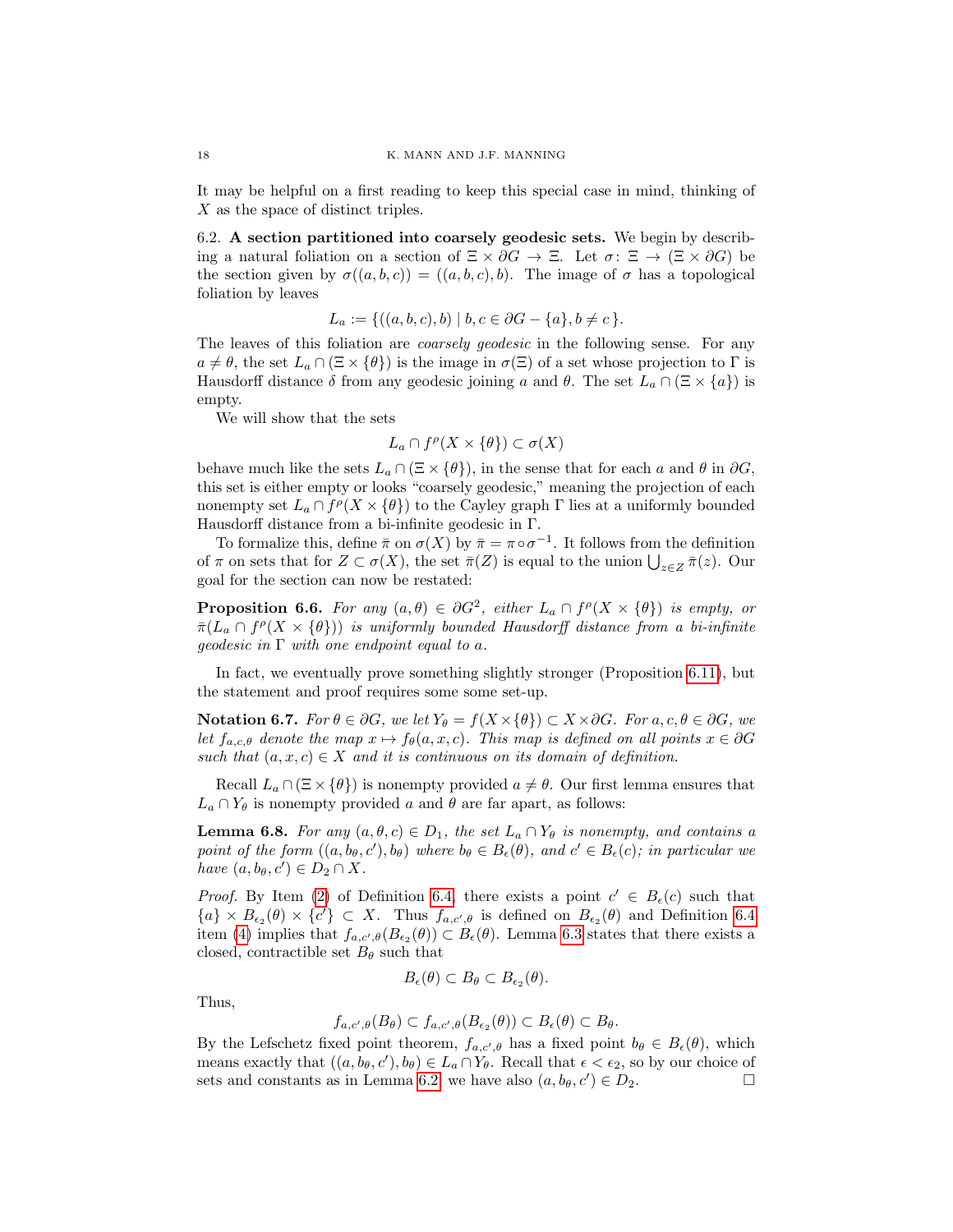It may be helpful on a first reading to keep this special case in mind, thinking of X as the space of distinct triples.

<span id="page-17-0"></span>6.2. A section partitioned into coarsely geodesic sets. We begin by describing a natural foliation on a section of  $\Xi \times \partial G \to \Xi$ . Let  $\sigma: \Xi \to (\Xi \times \partial G)$  be the section given by  $\sigma((a, b, c)) = ((a, b, c), b)$ . The image of  $\sigma$  has a topological foliation by leaves

$$
L_a := \{ ((a, b, c), b) \mid b, c \in \partial G - \{a\}, b \neq c \}.
$$

The leaves of this foliation are *coarsely geodesic* in the following sense. For any  $a \neq \theta$ , the set  $L_a \cap (\Xi \times {\theta})$  is the image in  $\sigma(\Xi)$  of a set whose projection to  $\Gamma$  is Hausdorff distance  $\delta$  from any geodesic joining a and  $\theta$ . The set  $L_a \cap (\Xi \times \{a\})$  is empty.

We will show that the sets

$$
L_a \cap f^{\rho}(X \times \{\theta\}) \subset \sigma(X)
$$

behave much like the sets  $L_a \cap (\Xi \times \{\theta\})$ , in the sense that for each a and  $\theta$  in  $\partial G$ , this set is either empty or looks "coarsely geodesic," meaning the projection of each nonempty set  $L_a \cap f^{\rho}(X \times {\theta})$  to the Cayley graph  $\Gamma$  lies at a uniformly bounded Hausdorff distance from a bi-infinite geodesic in Γ.

To formalize this, define  $\bar{\pi}$  on  $\sigma(X)$  by  $\bar{\pi} = \pi \circ \sigma^{-1}$ . It follows from the definition of  $\pi$  on sets that for  $Z \subset \sigma(X)$ , the set  $\bar{\pi}(Z)$  is equal to the union  $\bigcup_{z \in Z} \bar{\pi}(z)$ . Our goal for the section can now be restated:

<span id="page-17-2"></span>**Proposition 6.6.** For any  $(a, \theta) \in \partial G^2$ , either  $L_a \cap f^{\rho}(X \times {\{\theta\}})$  is empty, or  $\bar{\pi}(L_a \cap f^{\rho}(X \times {\{\theta\}}))$  is uniformly bounded Hausdorff distance from a bi-infinite qeodesic in  $\Gamma$  with one endpoint equal to a.

In fact, we eventually prove something slightly stronger (Proposition [6.11\)](#page-19-0), but the statement and proof requires some some set-up.

<span id="page-17-3"></span>Notation 6.7. For  $\theta \in \partial G$ , we let  $Y_{\theta} = f(X \times {\theta}) \subset X \times \partial G$ . For  $a, c, \theta \in \partial G$ , we let  $f_{a,c,\theta}$  denote the map  $x \mapsto f_{\theta}(a, x, c)$ . This map is defined on all points  $x \in \partial G$ such that  $(a, x, c) \in X$  and it is continuous on its domain of definition.

Recall  $L_a \cap (\Xi \times \{\theta\})$  is nonempty provided  $a \neq \theta$ . Our first lemma ensures that  $L_a \cap Y_\theta$  is nonempty provided a and  $\theta$  are far apart, as follows:

<span id="page-17-1"></span>**Lemma 6.8.** For any  $(a, \theta, c) \in D_1$ , the set  $L_a \cap Y_\theta$  is nonempty, and contains a point of the form  $((a, b_{\theta}, c'), b_{\theta})$  where  $b_{\theta} \in B_{\epsilon}(\theta)$ , and  $c' \in B_{\epsilon}(c)$ ; in particular we have  $(a, b_{\theta}, c') \in D_2 \cap X$ .

*Proof.* By Item [\(2\)](#page-16-2) of Definition [6.4,](#page-16-0) there exists a point  $c' \in B_{\epsilon}(c)$  such that  ${a} \times B_{\epsilon_2}(\theta) \times {c'} \subset X$ . Thus  $f_{a,c',\theta}$  is defined on  $B_{\epsilon_2}(\theta)$  and Definition [6.4](#page-16-0) item [\(4\)](#page-16-3) implies that  $f_{a,c',\theta}(B_{\epsilon_2}(\theta)) \subset B_{\epsilon}(\theta)$ . Lemma [6.3](#page-16-1) states that there exists a closed, contractible set  $B_{\theta}$  such that

$$
B_{\epsilon}(\theta) \subset B_{\theta} \subset B_{\epsilon_2}(\theta).
$$

Thus,

$$
f_{a,c',\theta}(B_{\theta}) \subset f_{a,c',\theta}(B_{\epsilon_2}(\theta)) \subset B_{\epsilon}(\theta) \subset B_{\theta}.
$$

By the Lefschetz fixed point theorem,  $f_{a,c',\theta}$  has a fixed point  $b_{\theta} \in B_{\epsilon}(\theta)$ , which means exactly that  $((a, b_\theta, c'), b_\theta) \in L_a \cap Y_\theta$ . Recall that  $\epsilon < \epsilon_2$ , so by our choice of sets and constants as in Lemma [6.2,](#page-15-5) we have also  $(a, b_{\theta}, c') \in D_2$ .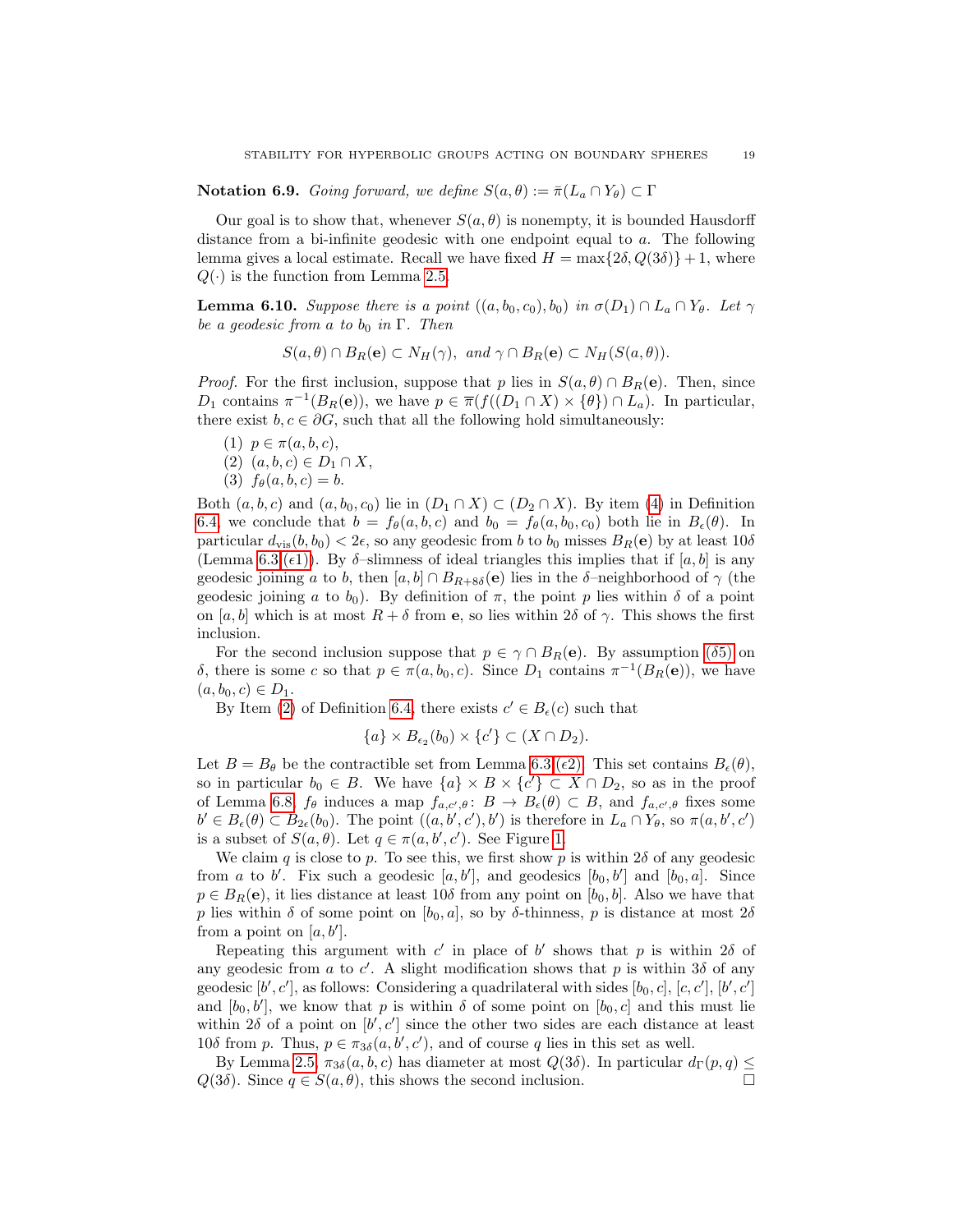## **Notation 6.9.** Going forward, we define  $S(a, \theta) := \bar{\pi}(L_a \cap Y_{\theta}) \subset \Gamma$

Our goal is to show that, whenever  $S(a, \theta)$  is nonempty, it is bounded Hausdorff distance from a bi-infinite geodesic with one endpoint equal to  $a$ . The following lemma gives a local estimate. Recall we have fixed  $H = \max\{2\delta, Q(3\delta)\} + 1$ , where  $Q(\cdot)$  is the function from Lemma [2.5.](#page-3-4)

<span id="page-18-0"></span>**Lemma 6.10.** Suppose there is a point  $((a, b_0, c_0), b_0)$  in  $\sigma(D_1) \cap L_a \cap Y_{\theta}$ . Let  $\gamma$ be a geodesic from a to  $b_0$  in  $\Gamma$ . Then

 $S(a, \theta) \cap B_R(\mathbf{e}) \subset N_H(\gamma)$ , and  $\gamma \cap B_R(\mathbf{e}) \subset N_H(S(a, \theta))$ .

*Proof.* For the first inclusion, suppose that p lies in  $S(a, \theta) \cap B_R(e)$ . Then, since  $D_1$  contains  $\pi^{-1}(B_R(e))$ , we have  $p \in \pi(f((D_1 \cap X) \times \{\theta\}) \cap L_a)$ . In particular, there exist  $b, c \in \partial G$ , such that all the following hold simultaneously:

- (1)  $p \in \pi(a, b, c)$ ,
- (2)  $(a, b, c) \in D_1 \cap X$ ,
- (3)  $f_{\theta}(a, b, c) = b$ .

Both  $(a, b, c)$  and  $(a, b_0, c_0)$  lie in  $(D_1 \cap X) \subset (D_2 \cap X)$ . By item [\(4\)](#page-16-3) in Definition [6.4,](#page-16-0) we conclude that  $b = f_{\theta}(a, b, c)$  and  $b_0 = f_{\theta}(a, b_0, c_0)$  both lie in  $B_{\epsilon}(\theta)$ . In particular  $d_{\text{vis}}(b, b_0) < 2\epsilon$ , so any geodesic from b to  $b_0$  misses  $B_R(e)$  by at least  $10\delta$ (Lemma [6.3.](#page-16-1) $(\epsilon 1)$ ). By  $\delta$ -slimness of ideal triangles this implies that if [a, b] is any geodesic joining a to b, then  $[a, b] \cap B_{R+8\delta}(\mathbf{e})$  lies in the δ–neighborhood of  $\gamma$  (the geodesic joining a to  $b_0$ ). By definition of  $\pi$ , the point p lies within  $\delta$  of a point on [a, b] which is at most  $R + \delta$  from e, so lies within  $2\delta$  of  $\gamma$ . This shows the first inclusion.

For the second inclusion suppose that  $p \in \gamma \cap B_R(e)$ . By assumption ( $\delta$ [5\)](#page-4-4) on δ, there is some c so that  $p \in \pi(a, b_0, c)$ . Since  $D_1$  contains  $\pi^{-1}(B_R(e))$ , we have  $(a, b_0, c) \in D_1$ .

By Item [\(2\)](#page-16-2) of Definition [6.4,](#page-16-0) there exists  $c' \in B_{\epsilon}(c)$  such that

$$
\{a\} \times B_{\epsilon_2}(b_0) \times \{c'\} \subset (X \cap D_2).
$$

Let  $B = B_{\theta}$  be the contractible set from Lemma [6.3.](#page-16-1)( $\epsilon$ [2\).](#page-16-5) This set contains  $B_{\epsilon}(\theta)$ , so in particular  $b_0 \in B$ . We have  $\{a\} \times B \times \{c'\} \subset X \cap D_2$ , so as in the proof of Lemma [6.8,](#page-17-1)  $f_{\theta}$  induces a map  $f_{a,c',\theta}$ :  $B \to B_{\epsilon}(\theta) \subset B$ , and  $f_{a,c',\theta}$  fixes some  $b' \in B_{\epsilon}(\theta) \subset B_{2\epsilon}(b_0)$ . The point  $((a, b', c'), b')$  is therefore in  $L_a \cap Y_{\theta}$ , so  $\pi(a, b', c')$ is a subset of  $S(a, \theta)$ . Let  $q \in \pi(a, b', c')$ . See Figure [1.](#page-19-1)

We claim q is close to p. To see this, we first show p is within  $2\delta$  of any geodesic from a to b'. Fix such a geodesic  $[a, b']$ , and geodesics  $[b_0, b']$  and  $[b_0, a]$ . Since  $p \in B_R(e)$ , it lies distance at least 10 $\delta$  from any point on  $[b_0, b]$ . Also we have that p lies within  $\delta$  of some point on  $[b_0, a]$ , so by  $\delta$ -thinness, p is distance at most  $2\delta$ from a point on  $[a, b']$ .

Repeating this argument with c' in place of b' shows that p is within  $2\delta$  of any geodesic from a to c'. A slight modification shows that p is within  $3\delta$  of any geodesic  $[b', c']$ , as follows: Considering a quadrilateral with sides  $[b_0, c]$ ,  $[c, c']$ ,  $[b', c']$ and  $[b_0, b']$ , we know that p is within  $\delta$  of some point on  $[b_0, c]$  and this must lie within  $2\delta$  of a point on  $[b', c']$  since the other two sides are each distance at least 10δ from p. Thus,  $p \in \pi_{3\delta}(a, b', c')$ , and of course q lies in this set as well.

By Lemma [2.5,](#page-3-4)  $\pi_{3\delta}(a, b, c)$  has diameter at most  $Q(3\delta)$ . In particular  $d_{\Gamma}(p, q) \leq$  $Q(3\delta)$ . Since  $q \in S(a, \theta)$ , this shows the second inclusion.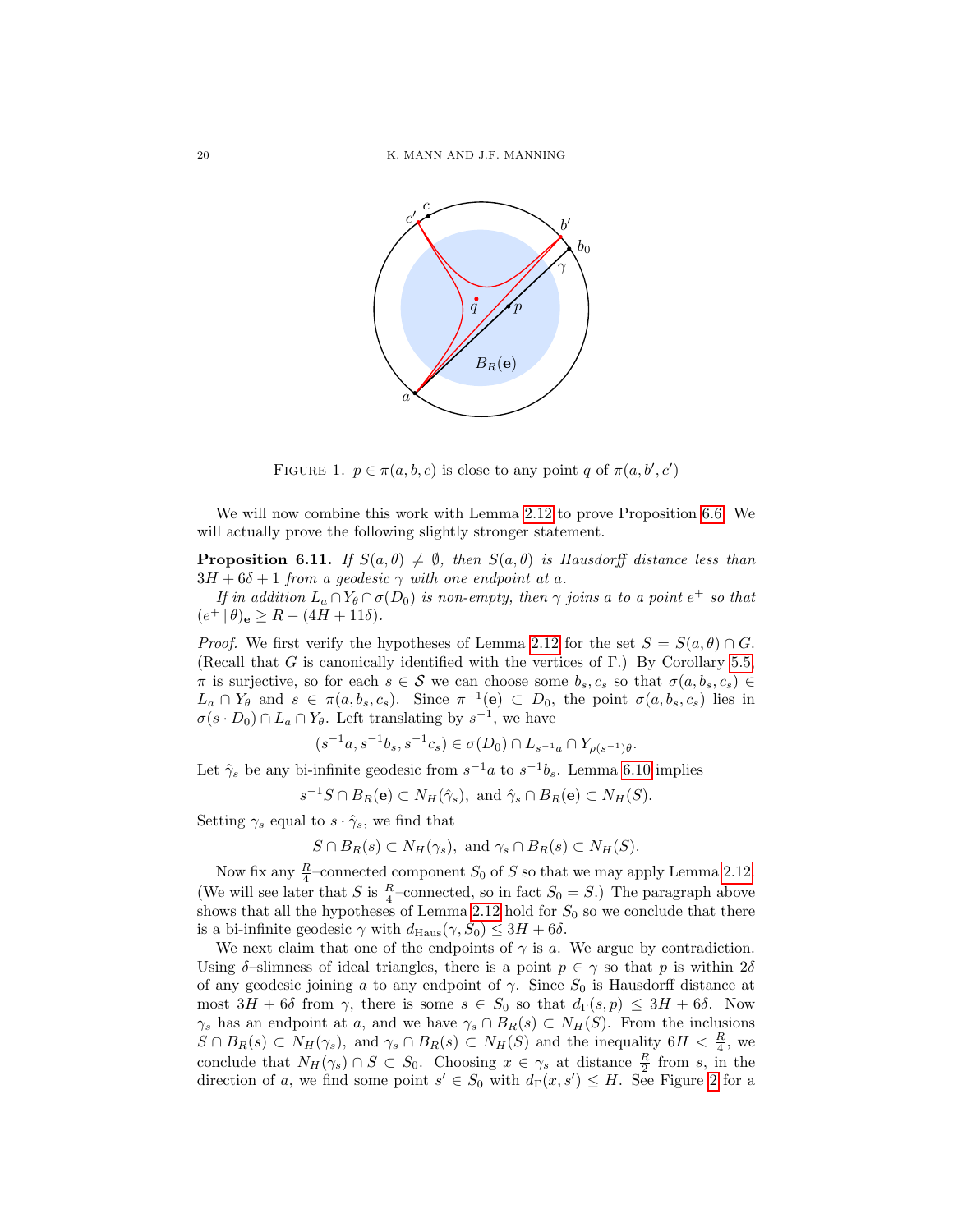

<span id="page-19-1"></span>FIGURE 1.  $p \in \pi(a, b, c)$  is close to any point q of  $\pi(a, b', c')$ 

We will now combine this work with Lemma [2.12](#page-6-0) to prove Proposition [6.6.](#page-17-2) We will actually prove the following slightly stronger statement.

<span id="page-19-0"></span>**Proposition 6.11.** If  $S(a, \theta) \neq \emptyset$ , then  $S(a, \theta)$  is Hausdorff distance less than  $3H + 6\delta + 1$  from a geodesic  $\gamma$  with one endpoint at a.

If in addition  $L_a \cap Y_\theta \cap \sigma(D_0)$  is non-empty, then  $\gamma$  joins a to a point  $e^+$  so that  $(e^+ | \theta)_e \ge R - (4H + 11\delta).$ 

*Proof.* We first verify the hypotheses of Lemma [2.12](#page-6-0) for the set  $S = S(a, \theta) \cap G$ . (Recall that G is canonically identified with the vertices of  $\Gamma$ .) By Corollary [5.5,](#page-12-2)  $π$  is surjective, so for each  $s ∈ S$  we can choose some  $b_s, c_s$  so that  $σ(a, b_s, c_s) ∈$  $L_a \cap Y_\theta$  and  $s \in \pi(a, b_s, c_s)$ . Since  $\pi^{-1}(e) \subset D_0$ , the point  $\sigma(a, b_s, c_s)$  lies in  $\sigma(s \cdot D_0) \cap L_a \cap Y_{\theta}$ . Left translating by  $s^{-1}$ , we have

$$
(s^{-1}a, s^{-1}b_s, s^{-1}c_s) \in \sigma(D_0) \cap L_{s^{-1}a} \cap Y_{\rho(s^{-1})\theta}.
$$

Let  $\hat{\gamma}_s$  be any bi-infinite geodesic from  $s^{-1}a$  to  $s^{-1}b_s$ . Lemma [6.10](#page-18-0) implies

$$
s^{-1}S \cap B_R(\mathbf{e}) \subset N_H(\hat{\gamma}_s), \text{ and } \hat{\gamma}_s \cap B_R(\mathbf{e}) \subset N_H(S).
$$

Setting  $\gamma_s$  equal to  $s \cdot \hat{\gamma}_s$ , we find that

$$
S \cap B_R(s) \subset N_H(\gamma_s), \text{ and } \gamma_s \cap B_R(s) \subset N_H(S).
$$

Now fix any  $\frac{R}{4}$ -connected component  $S_0$  of S so that we may apply Lemma [2.12.](#page-6-0) (We will see later that S is  $\frac{R}{4}$ -connected, so in fact  $S_0 = S$ .) The paragraph above shows that all the hypotheses of Lemma [2.12](#page-6-0) hold for  $S_0$  so we conclude that there is a bi-infinite geodesic  $\gamma$  with  $d_{\text{Haus}}(\gamma, S_0) \leq 3H + 6\delta$ .

We next claim that one of the endpoints of  $\gamma$  is a. We argue by contradiction. Using  $\delta$ -slimness of ideal triangles, there is a point  $p \in \gamma$  so that p is within  $2\delta$ of any geodesic joining a to any endpoint of  $\gamma$ . Since  $S_0$  is Hausdorff distance at most  $3H + 6\delta$  from  $\gamma$ , there is some  $s \in S_0$  so that  $d_{\Gamma}(s, p) \leq 3H + 6\delta$ . Now  $\gamma_s$  has an endpoint at a, and we have  $\gamma_s \cap B_R(s) \subset N_H(S)$ . From the inclusions  $S \cap B_R(s) \subset N_H(\gamma_s)$ , and  $\gamma_s \cap B_R(s) \subset N_H(S)$  and the inequality  $6H < \frac{R}{4}$ , we conclude that  $N_H(\gamma_s) \cap S \subset S_0$ . Choosing  $x \in \gamma_s$  at distance  $\frac{R}{2}$  from s, in the direction of a, we find some point  $s' \in S_0$  with  $d_{\Gamma}(x, s') \leq H$ . See Figure [2](#page-20-1) for a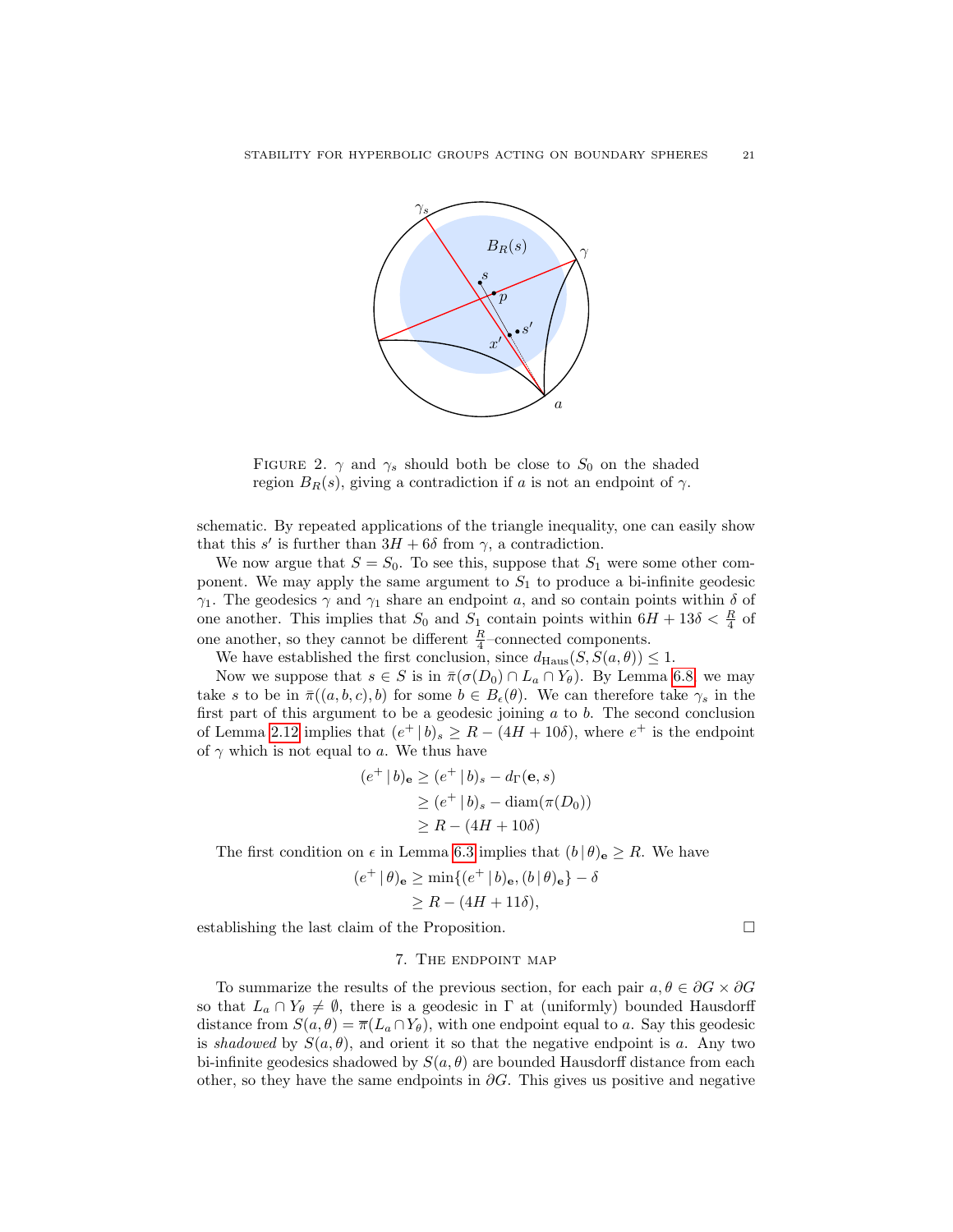

<span id="page-20-1"></span>FIGURE 2.  $\gamma$  and  $\gamma_s$  should both be close to  $S_0$  on the shaded region  $B_R(s)$ , giving a contradiction if a is not an endpoint of  $\gamma$ .

schematic. By repeated applications of the triangle inequality, one can easily show that this s' is further than  $3H + 6\delta$  from  $\gamma$ , a contradiction.

We now argue that  $S = S_0$ . To see this, suppose that  $S_1$  were some other component. We may apply the same argument to  $S_1$  to produce a bi-infinite geodesic  $\gamma_1$ . The geodesics  $\gamma$  and  $\gamma_1$  share an endpoint a, and so contain points within  $\delta$  of one another. This implies that  $S_0$  and  $S_1$  contain points within  $6H + 13\delta < \frac{R}{4}$  of one another, so they cannot be different  $\frac{R}{4}$ –connected components.

We have established the first conclusion, since  $d_{\text{Haus}}(S, S(a, \theta)) \leq 1$ .

Now we suppose that  $s \in S$  is in  $\bar{\pi}(\sigma(D_0) \cap L_a \cap Y_{\theta})$ . By Lemma [6.8,](#page-17-1) we may take s to be in  $\bar{\pi}((a, b, c), b)$  for some  $b \in B_{\epsilon}(\theta)$ . We can therefore take  $\gamma_s$  in the first part of this argument to be a geodesic joining  $a$  to  $b$ . The second conclusion of Lemma [2.12](#page-6-0) implies that  $(e^+ | b)_s \geq R - (4H + 10\delta)$ , where  $e^+$  is the endpoint of  $\gamma$  which is not equal to a. We thus have

$$
(e^+ | b)_{\mathbf{e}} \ge (e^+ | b)_s - d_{\Gamma}(\mathbf{e}, s)
$$
  
\n
$$
\ge (e^+ | b)_s - \operatorname{diam}(\pi(D_0))
$$
  
\n
$$
\ge R - (4H + 10\delta)
$$

The first condition on  $\epsilon$  in Lemma [6.3](#page-16-1) implies that  $(b | \theta)_e \geq R$ . We have

$$
(e^+ | \theta)_\mathbf{e} \ge \min\{(e^+ | b)_\mathbf{e}, (b | \theta)_\mathbf{e}\} - \delta
$$
  
 
$$
\ge R - (4H + 11\delta),
$$

<span id="page-20-0"></span>establishing the last claim of the Proposition.

#### 7. The endpoint map

To summarize the results of the previous section, for each pair  $a, \theta \in \partial G \times \partial G$ so that  $L_a \cap Y_\theta \neq \emptyset$ , there is a geodesic in  $\Gamma$  at (uniformly) bounded Hausdorff distance from  $S(a, \theta) = \overline{\pi}(L_a \cap Y_{\theta})$ , with one endpoint equal to a. Say this geodesic is shadowed by  $S(a, \theta)$ , and orient it so that the negative endpoint is a. Any two bi-infinite geodesics shadowed by  $S(a, \theta)$  are bounded Hausdorff distance from each other, so they have the same endpoints in  $\partial G$ . This gives us positive and negative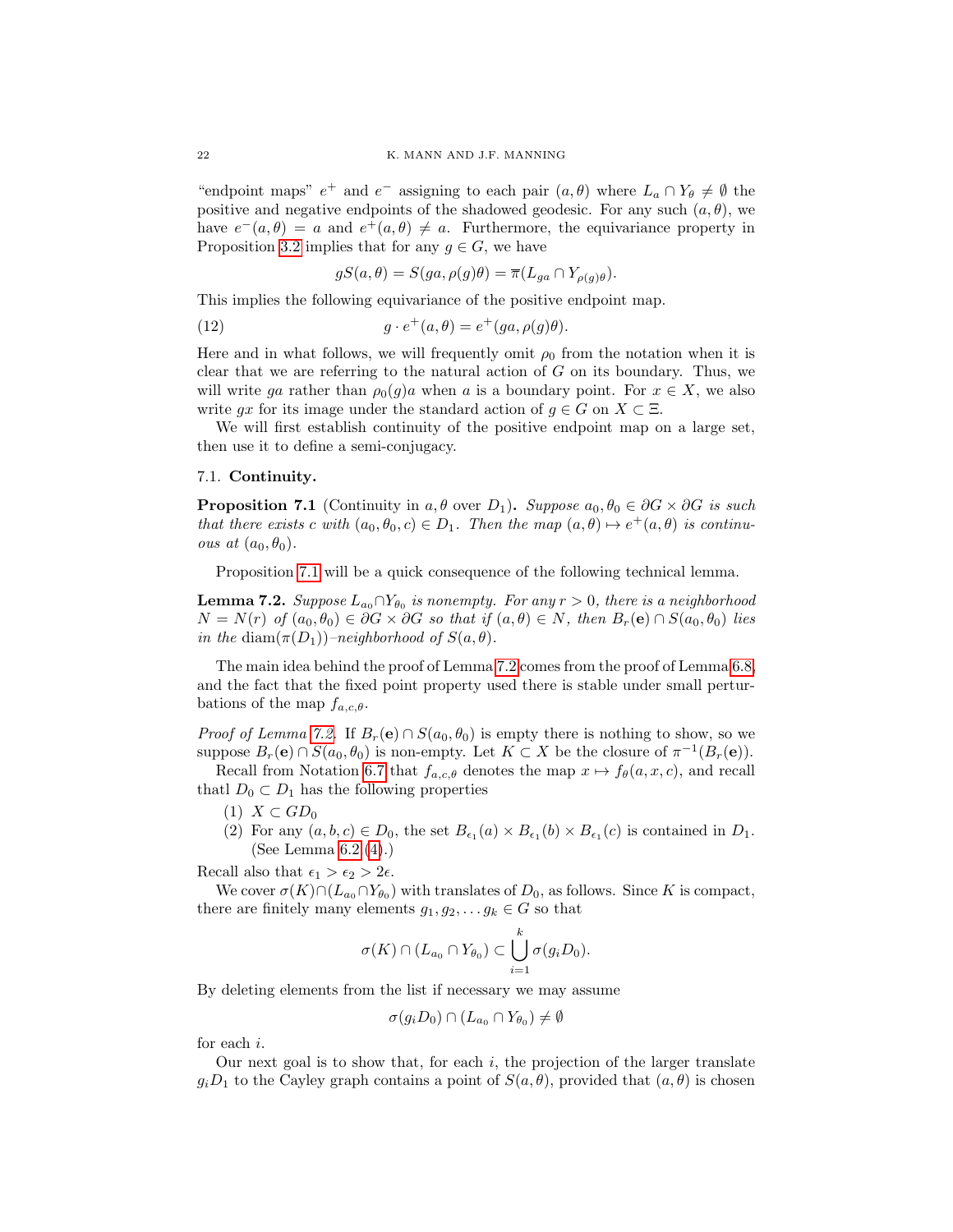"endpoint maps"  $e^+$  and  $e^-$  assigning to each pair  $(a, \theta)$  where  $L_a \cap Y_{\theta} \neq \emptyset$  the positive and negative endpoints of the shadowed geodesic. For any such  $(a, \theta)$ , we have  $e^-(a, \theta) = a$  and  $e^+(a, \theta) \neq a$ . Furthermore, the equivariance property in Proposition [3.2](#page-8-1) implies that for any  $g \in G$ , we have

<span id="page-21-2"></span>
$$
gS(a, \theta) = S(ga, \rho(g)\theta) = \overline{\pi}(L_{ga} \cap Y_{\rho(g)\theta}).
$$

This implies the following equivariance of the positive endpoint map.

(12) 
$$
g \cdot e^+(a,\theta) = e^+(ga,\rho(g)\theta).
$$

Here and in what follows, we will frequently omit  $\rho_0$  from the notation when it is clear that we are referring to the natural action of G on its boundary. Thus, we will write ga rather than  $\rho_0(g)a$  when a is a boundary point. For  $x \in X$ , we also write gx for its image under the standard action of  $g \in G$  on  $X \subset \Xi$ .

We will first establish continuity of the positive endpoint map on a large set, then use it to define a semi-conjugacy.

### 7.1. Continuity.

<span id="page-21-0"></span>**Proposition 7.1** (Continuity in  $a, \theta$  over  $D_1$ ). Suppose  $a_0, \theta_0 \in \partial G \times \partial G$  is such that there exists c with  $(a_0, \theta_0, c) \in D_1$ . Then the map  $(a, \theta) \mapsto e^+(a, \theta)$  is continuous at  $(a_0, \theta_0)$ .

Proposition [7.1](#page-21-0) will be a quick consequence of the following technical lemma.

<span id="page-21-1"></span>**Lemma 7.2.** Suppose  $L_{a_0} \cap Y_{\theta_0}$  is nonempty. For any  $r > 0$ , there is a neighborhood  $N = N(r)$  of  $(a_0, \theta_0) \in \partial G \times \partial G$  so that if  $(a, \theta) \in N$ , then  $B_r(\mathbf{e}) \cap S(a_0, \theta_0)$  lies in the diam $(\pi(D_1))$ –neighborhood of  $S(a, \theta)$ .

The main idea behind the proof of Lemma [7.2](#page-21-1) comes from the proof of Lemma [6.8,](#page-17-1) and the fact that the fixed point property used there is stable under small perturbations of the map  $f_{a,c,\theta}$ .

*Proof of Lemma [7.2.](#page-21-1)* If  $B_r(e) \cap S(a_0, \theta_0)$  is empty there is nothing to show, so we suppose  $B_r(\mathbf{e}) \cap S(a_0, \theta_0)$  is non-empty. Let  $K \subset X$  be the closure of  $\pi^{-1}(B_r(\mathbf{e}))$ .

Recall from Notation [6.7](#page-17-3) that  $f_{a,c,\theta}$  denotes the map  $x \mapsto f_{\theta}(a, x, c)$ , and recall thatl  $D_0 \subset D_1$  has the following properties

- (1)  $X \subset GD_0$
- (2) For any  $(a, b, c) \in D_0$ , the set  $B_{\epsilon_1}(a) \times B_{\epsilon_1}(b) \times B_{\epsilon_1}(c)$  is contained in  $D_1$ . (See Lemma [6.2.](#page-15-5)[\(4\)](#page-15-6).)

Recall also that  $\epsilon_1 > \epsilon_2 > 2\epsilon$ .

We cover  $\sigma(K) \cap (L_{a_0} \cap Y_{\theta_0})$  with translates of  $D_0$ , as follows. Since K is compact, there are finitely many elements  $g_1, g_2, \ldots g_k \in G$  so that

$$
\sigma(K) \cap (L_{a_0} \cap Y_{\theta_0}) \subset \bigcup_{i=1}^k \sigma(g_i D_0).
$$

By deleting elements from the list if necessary we may assume

$$
\sigma(g_i D_0) \cap (L_{a_0} \cap Y_{\theta_0}) \neq \emptyset
$$

for each i.

Our next goal is to show that, for each  $i$ , the projection of the larger translate  $g_iD_1$  to the Cayley graph contains a point of  $S(a, \theta)$ , provided that  $(a, \theta)$  is chosen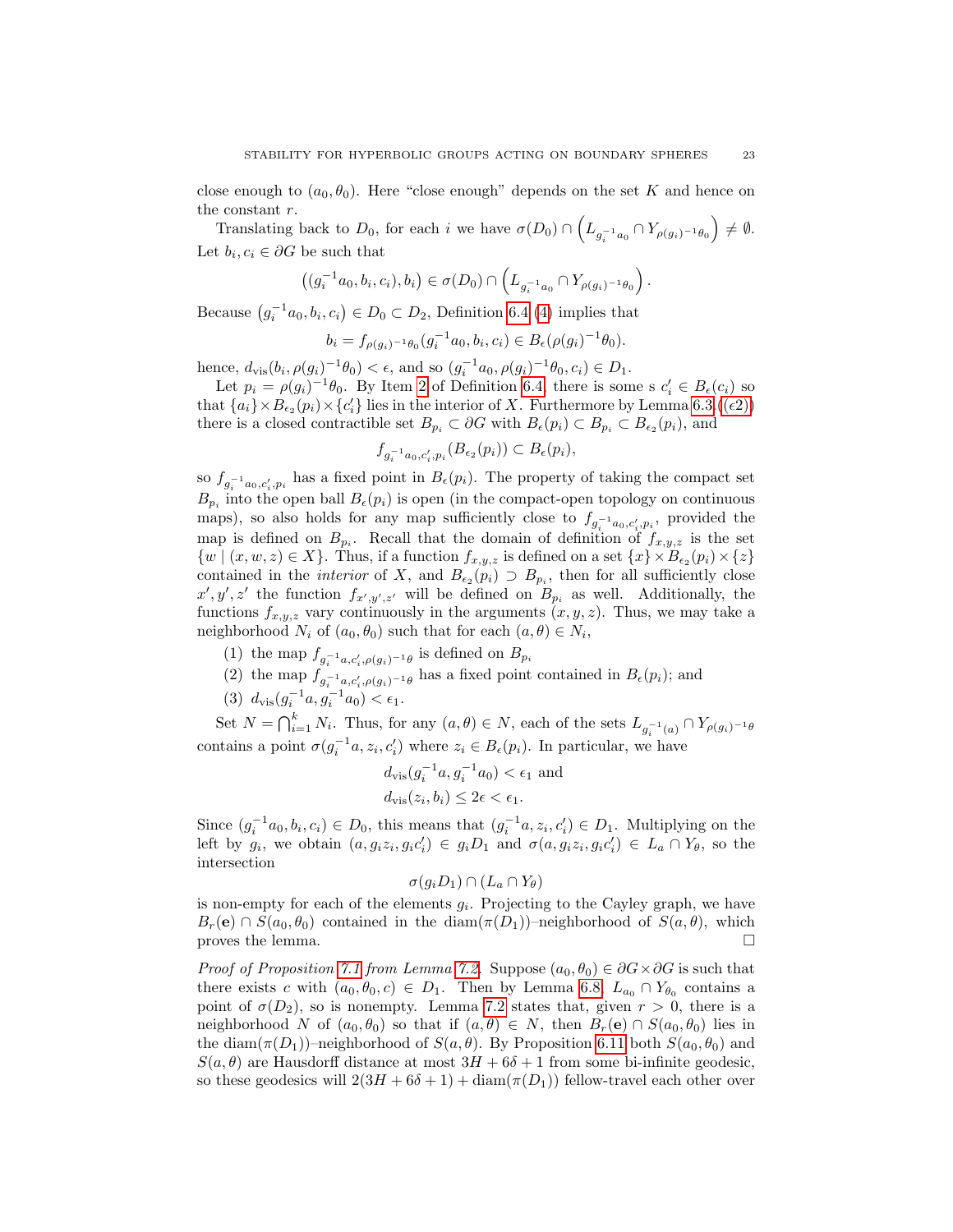close enough to  $(a_0, \theta_0)$ . Here "close enough" depends on the set K and hence on the constant r.

Translating back to  $D_0$ , for each i we have  $\sigma(D_0) \cap \left( L_{g_i^{-1}a_0} \cap Y_{\rho(g_i)^{-1}\theta_0} \right) \neq \emptyset$ . Let  $b_i, c_i \in \partial G$  be such that

$$
((g_i^{-1}a_0,b_i,c_i),b_i)\in \sigma(D_0)\cap \left(L_{g_i^{-1}a_0}\cap Y_{\rho(g_i)^{-1}\theta_0}\right).
$$

Because  $(g_i^{-1}a_0, b_i, c_i) \in D_0 \subset D_2$ , Definition [6.4](#page-16-0) [\(4\)](#page-16-3) implies that

$$
b_i = f_{\rho(g_i)^{-1}\theta_0}(g_i^{-1}a_0, b_i, c_i) \in B_{\epsilon}(\rho(g_i)^{-1}\theta_0).
$$

hence,  $d_{\text{vis}}(b_i, \rho(g_i)^{-1}\theta_0) < \epsilon$ , and so  $(g_i^{-1}a_0, \rho(g_i)^{-1}\theta_0, c_i) \in D_1$ .

Let  $p_i = \rho(g_i)^{-1}\theta_0$ . By Item [2](#page-16-2) of Definition [6.4,](#page-16-0) there is some s  $c'_i \in B_{\epsilon}(c_i)$  so that  $\{a_i\} \times B_{\epsilon_2}(p_i) \times \{c'_i\}$  lies in the interior of X. Furthermore by Lemma [6.3.](#page-16-1) $((\epsilon 2))$  $((\epsilon 2))$ there is a closed contractible set  $B_{p_i} \subset \partial G$  with  $B_{\epsilon}(p_i) \subset B_{p_i} \subset B_{\epsilon_2}(p_i)$ , and

$$
f_{g_i^{-1}a_0,c_i',p_i}(B_{\epsilon_2}(p_i)) \subset B_{\epsilon}(p_i),
$$

so  $f_{g_i^{-1}a_0,c'_i,p_i}$  has a fixed point in  $B_{\epsilon}(p_i)$ . The property of taking the compact set  $B_{p_i}$  into the open ball  $B_{\epsilon}(p_i)$  is open (in the compact-open topology on continuous maps), so also holds for any map sufficiently close to  $f_{g_i^{-1}a_0,c_i',p_i}$ , provided the map is defined on  $B_{p_i}$ . Recall that the domain of definition of  $f_{x,y,z}$  is the set  $\{w \mid (x, w, z) \in X\}$ . Thus, if a function  $f_{x,y,z}$  is defined on a set  $\{x\} \times B_{\epsilon_2}(p_i) \times \{z\}$ contained in the *interior* of X, and  $B_{\epsilon_2}(p_i) \supset B_{p_i}$ , then for all sufficiently close  $x', y', z'$  the function  $f_{x', y', z'}$  will be defined on  $B_{p_i}$  as well. Additionally, the functions  $f_{x,y,z}$  vary continuously in the arguments  $(x, y, z)$ . Thus, we may take a neighborhood  $N_i$  of  $(a_0, \theta_0)$  such that for each  $(a, \theta) \in N_i$ ,

- (1) the map  $f_{g_i^{-1}a,c'_i,\rho(g_i)^{-1}\theta}$  is defined on  $B_{p_i}$
- (2) the map  $f_{g_i^{-1}a,c'_i,\rho(g_i)^{-1}\theta}$  has a fixed point contained in  $B_{\epsilon}(p_i)$ ; and
- (3)  $d_{\text{vis}}(g_i^{-1}a, g_i^{-1}a_0) < \epsilon_1$ .

Set  $N = \bigcap_{i=1}^k N_i$ . Thus, for any  $(a, \theta) \in N$ , each of the sets  $L_{g_i^{-1}(a)} \cap Y_{\rho(g_i)^{-1}\theta}$ contains a point  $\sigma(g_i^{-1}a, z_i, c'_i)$  where  $z_i \in B_{\epsilon}(p_i)$ . In particular, we have

$$
d_{\text{vis}}(g_i^{-1}a, g_i^{-1}a_0) < \epsilon_1 \text{ and}
$$
\n
$$
d_{\text{vis}}(z_i, b_i) \le 2\epsilon < \epsilon_1.
$$

Since  $(g_i^{-1}a_0, b_i, c_i) \in D_0$ , this means that  $(g_i^{-1}a, z_i, c'_i) \in D_1$ . Multiplying on the left by  $g_i$ , we obtain  $(a, g_i z_i, g_i c'_i) \in g_i D_1$  and  $\sigma(a, g_i z_i, g_i c'_i) \in L_a \cap Y_{\theta}$ , so the intersection

$$
\sigma(g_i D_1) \cap (L_a \cap Y_\theta)
$$

is non-empty for each of the elements  $g_i$ . Projecting to the Cayley graph, we have  $B_r(\mathbf{e}) \cap S(a_0, \theta_0)$  contained in the diam $(\pi(D_1))$ –neighborhood of  $S(a, \theta)$ , which proves the lemma.  $\Box$ 

*Proof of Proposition [7.1](#page-21-0) from Lemma [7.2.](#page-21-1)* Suppose  $(a_0, \theta_0) \in \partial G \times \partial G$  is such that there exists c with  $(a_0, \theta_0, c) \in D_1$ . Then by Lemma [6.8,](#page-17-1)  $L_{a_0} \cap Y_{\theta_0}$  contains a point of  $\sigma(D_2)$ , so is nonempty. Lemma [7.2](#page-21-1) states that, given  $r > 0$ , there is a neighborhood N of  $(a_0, \theta_0)$  so that if  $(a, \theta) \in N$ , then  $B_r(e) \cap S(a_0, \theta_0)$  lies in the diam( $\pi(D_1)$ )–neighborhood of  $S(a, \theta)$ . By Proposition [6.11](#page-19-0) both  $S(a_0, \theta_0)$  and  $S(a, \theta)$  are Hausdorff distance at most  $3H + 6\delta + 1$  from some bi-infinite geodesic, so these geodesics will  $2(3H + 6\delta + 1) + \text{diam}(\pi(D_1))$  fellow-travel each other over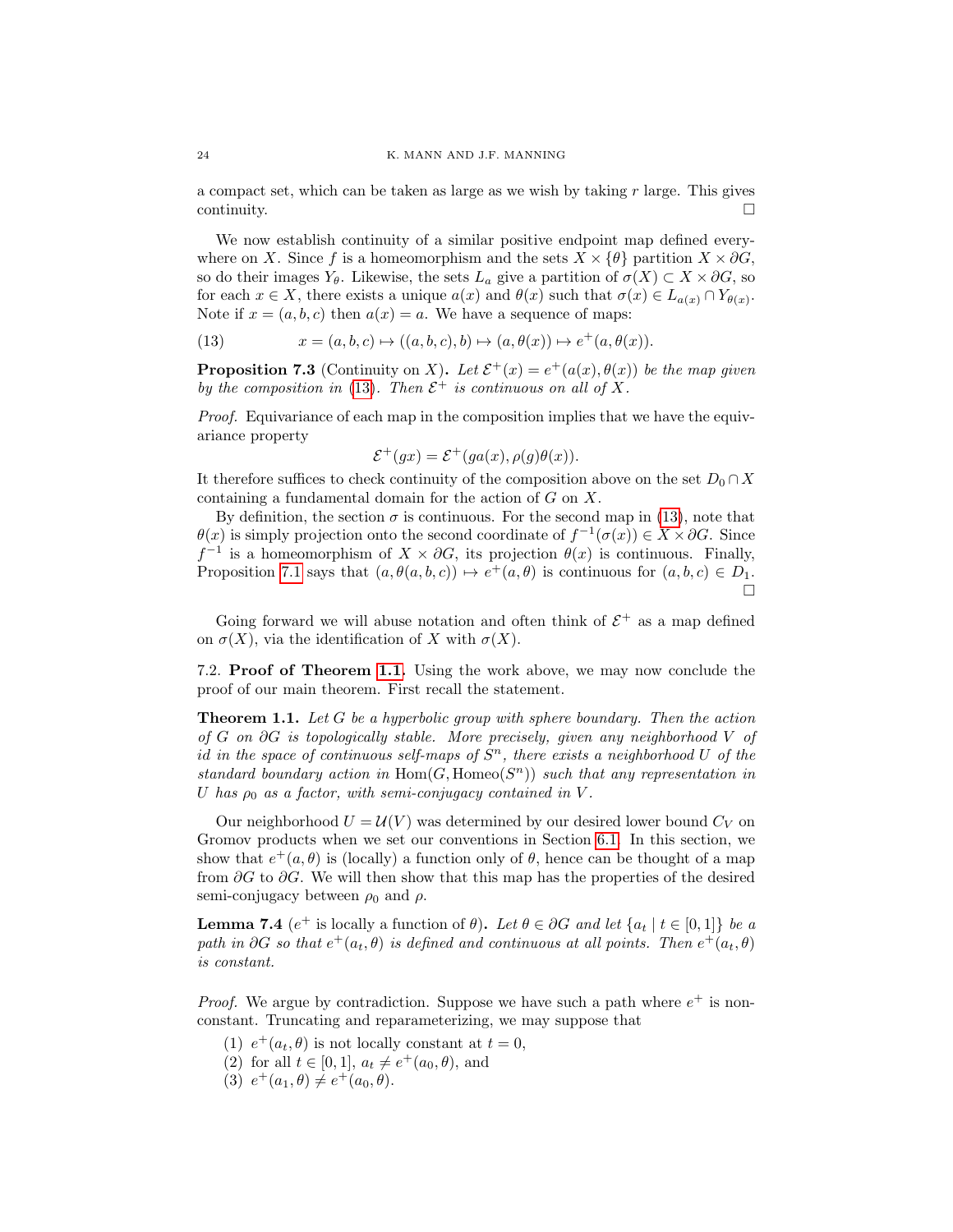a compact set, which can be taken as large as we wish by taking  $r$  large. This gives  $\Box$ continuity.

We now establish continuity of a similar positive endpoint map defined everywhere on X. Since f is a homeomorphism and the sets  $X \times {\theta}$  partition  $X \times \partial G$ , so do their images  $Y_{\theta}$ . Likewise, the sets  $L_a$  give a partition of  $\sigma(X) \subset X \times \partial G$ , so for each  $x \in X$ , there exists a unique  $a(x)$  and  $\theta(x)$  such that  $\sigma(x) \in L_{a(x)} \cap Y_{\theta(x)}$ . Note if  $x = (a, b, c)$  then  $a(x) = a$ . We have a sequence of maps:

<span id="page-23-0"></span>(13) 
$$
x = (a, b, c) \mapsto ((a, b, c), b) \mapsto (a, \theta(x)) \mapsto e^+(a, \theta(x)).
$$

<span id="page-23-1"></span>**Proposition 7.3** (Continuity on X). Let  $\mathcal{E}^+(x) = e^+(a(x), \theta(x))$  be the map given by the composition in [\(13\)](#page-23-0). Then  $\mathcal{E}^+$  is continuous on all of X.

Proof. Equivariance of each map in the composition implies that we have the equivariance property

$$
\mathcal{E}^+(gx) = \mathcal{E}^+(ga(x), \rho(g)\theta(x)).
$$

It therefore suffices to check continuity of the composition above on the set  $D_0 \cap X$ containing a fundamental domain for the action of G on X.

By definition, the section  $\sigma$  is continuous. For the second map in [\(13\)](#page-23-0), note that  $\theta(x)$  is simply projection onto the second coordinate of  $f^{-1}(\sigma(x)) \in X \times \partial G$ . Since  $f^{-1}$  is a homeomorphism of  $X \times \partial G$ , its projection  $\theta(x)$  is continuous. Finally, Proposition [7.1](#page-21-0) says that  $(a, \theta(a, b, c)) \mapsto e^+(a, \theta)$  is continuous for  $(a, b, c) \in D_1$ .  $\Box$ 

Going forward we will abuse notation and often think of  $\mathcal{E}^+$  as a map defined on  $\sigma(X)$ , via the identification of X with  $\sigma(X)$ .

7.2. Proof of Theorem [1.1.](#page-0-0) Using the work above, we may now conclude the proof of our main theorem. First recall the statement.

**Theorem 1.1.** Let G be a hyperbolic group with sphere boundary. Then the action of G on ∂G is topologically stable. More precisely, given any neighborhood V of id in the space of continuous self-maps of  $S<sup>n</sup>$ , there exists a neighborhood U of the standard boundary action in  $\text{Hom}(G, \text{Homeo}(S^n))$  such that any representation in U has  $\rho_0$  as a factor, with semi-conjugacy contained in V.

Our neighborhood  $U = U(V)$  was determined by our desired lower bound  $C_V$  on Gromov products when we set our conventions in Section [6.1.](#page-15-7) In this section, we show that  $e^+(a, \theta)$  is (locally) a function only of  $\theta$ , hence can be thought of a map from  $\partial G$  to  $\partial G$ . We will then show that this map has the properties of the desired semi-conjugacy between  $\rho_0$  and  $\rho$ .

<span id="page-23-2"></span>**Lemma 7.4** ( $e^+$  is locally a function of  $\theta$ ). Let  $\theta \in \partial G$  and let  $\{a_t | t \in [0,1]\}$  be a path in ∂G so that  $e^+(a_t, \theta)$  is defined and continuous at all points. Then  $e^+(a_t, \theta)$ is constant.

*Proof.* We argue by contradiction. Suppose we have such a path where  $e^+$  is nonconstant. Truncating and reparameterizing, we may suppose that

- (1)  $e^+(a_t, \theta)$  is not locally constant at  $t = 0$ ,
- (2) for all  $t \in [0,1], a_t \neq e^+(a_0, \theta)$ , and
- (3)  $e^+(a_1, \theta) \neq e^+(a_0, \theta)$ .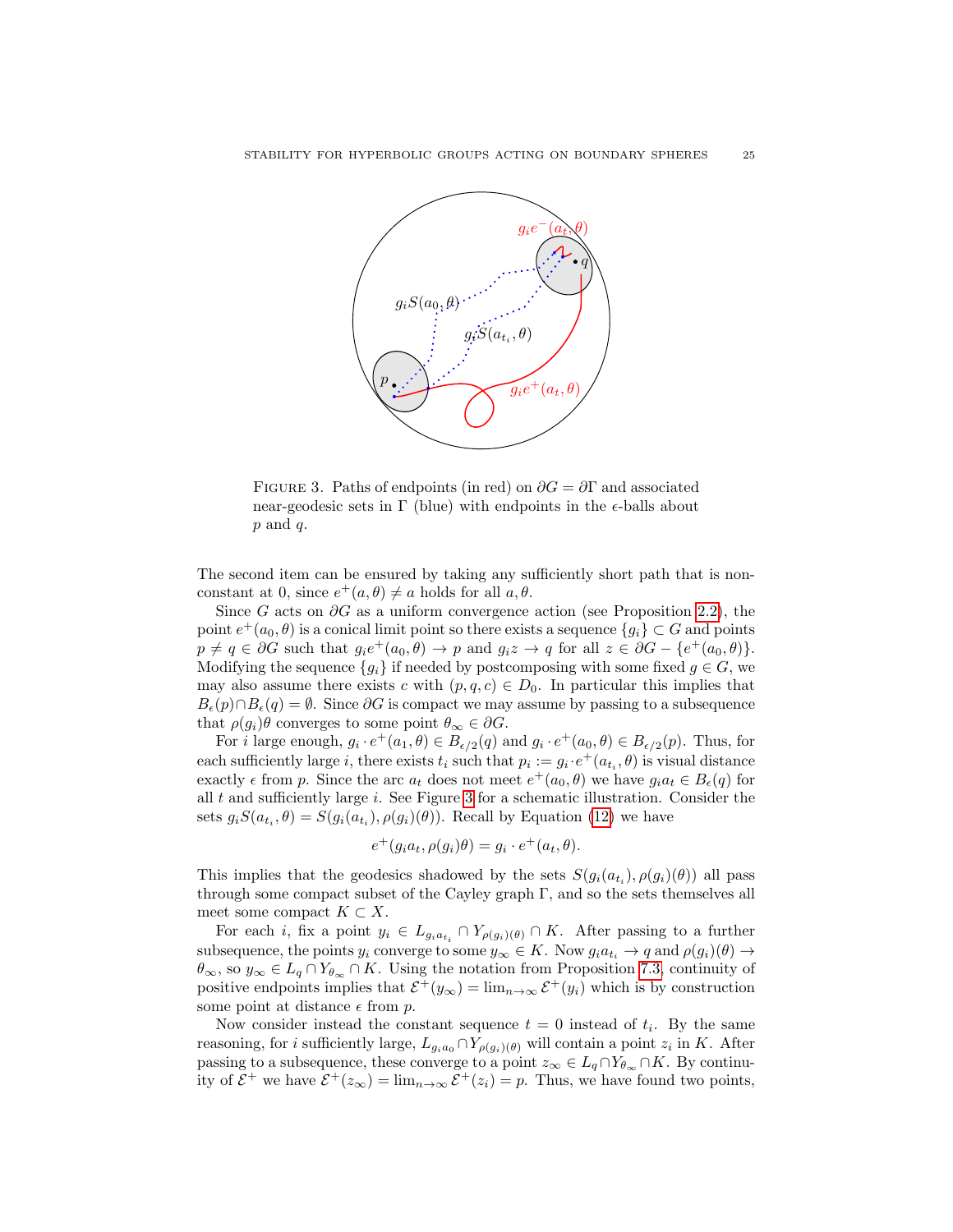

<span id="page-24-0"></span>FIGURE 3. Paths of endpoints (in red) on  $\partial G = \partial \Gamma$  and associated near-geodesic sets in  $\Gamma$  (blue) with endpoints in the  $\epsilon$ -balls about  $p$  and  $q$ .

The second item can be ensured by taking any sufficiently short path that is nonconstant at 0, since  $e^+(a, \theta) \neq a$  holds for all  $a, \theta$ .

Since G acts on  $\partial G$  as a uniform convergence action (see Proposition [2.2\)](#page-3-3), the point  $e^+(a_0, \theta)$  is a conical limit point so there exists a sequence  $\{g_i\} \subset G$  and points  $p \neq q \in \partial G$  such that  $g_i e^+(a_0, \theta) \to p$  and  $g_i z \to q$  for all  $z \in \partial G - \{e^+(a_0, \theta)\}.$ Modifying the sequence  ${g_i}$  if needed by postcomposing with some fixed  $g \in G$ , we may also assume there exists c with  $(p, q, c) \in D_0$ . In particular this implies that  $B_{\epsilon}(p) \cap B_{\epsilon}(q) = \emptyset$ . Since  $\partial G$  is compact we may assume by passing to a subsequence that  $\rho(g_i)\theta$  converges to some point  $\theta_\infty \in \partial G$ .

For *i* large enough,  $g_i \cdot e^+(a_1, \theta) \in B_{\epsilon/2}(q)$  and  $g_i \cdot e^+(a_0, \theta) \in B_{\epsilon/2}(p)$ . Thus, for each sufficiently large *i*, there exists  $t_i$  such that  $p_i := g_i \cdot e^+(a_{t_i}, \theta)$  is visual distance exactly  $\epsilon$  from p. Since the arc  $a_t$  does not meet  $e^+(a_0, \theta)$  we have  $g_i a_t \in B_{\epsilon}(q)$  for all  $t$  and sufficiently large  $i$ . See Figure [3](#page-24-0) for a schematic illustration. Consider the sets  $g_i S(a_{t_i}, \theta) = S(g_i(a_{t_i}), \rho(g_i)(\theta))$ . Recall by Equation [\(12\)](#page-21-2) we have

$$
e^+(g_ia_t, \rho(g_i)\theta) = g_i \cdot e^+(a_t, \theta).
$$

This implies that the geodesics shadowed by the sets  $S(g_i(a_{t_i}), \rho(g_i)(\theta))$  all pass through some compact subset of the Cayley graph Γ, and so the sets themselves all meet some compact  $K \subset X$ .

For each *i*, fix a point  $y_i \in L_{g_i a_{t_i}} \cap Y_{\rho(g_i)(\theta)} \cap K$ . After passing to a further subsequence, the points  $y_i$  converge to some  $y_\infty \in K$ . Now  $g_i a_{t_i} \to q$  and  $\rho(g_i)(\theta) \to$  $\theta_{\infty}$ , so  $y_{\infty} \in L_q \cap Y_{\theta_{\infty}} \cap K$ . Using the notation from Proposition [7.3,](#page-23-1) continuity of positive endpoints implies that  $\mathcal{E}^+(y_\infty) = \lim_{n \to \infty} \mathcal{E}^+(y_i)$  which is by construction some point at distance  $\epsilon$  from p.

Now consider instead the constant sequence  $t = 0$  instead of  $t_i$ . By the same reasoning, for *i* sufficiently large,  $L_{g_i a_0} \cap Y_{\rho(g_i)(\theta)}$  will contain a point  $z_i$  in K. After passing to a subsequence, these converge to a point  $z_{\infty} \in L_q \cap Y_{\theta_{\infty}} \cap K$ . By continuity of  $\mathcal{E}^+$  we have  $\mathcal{E}^+(z_\infty) = \lim_{n \to \infty} \mathcal{E}^+(z_i) = p$ . Thus, we have found two points,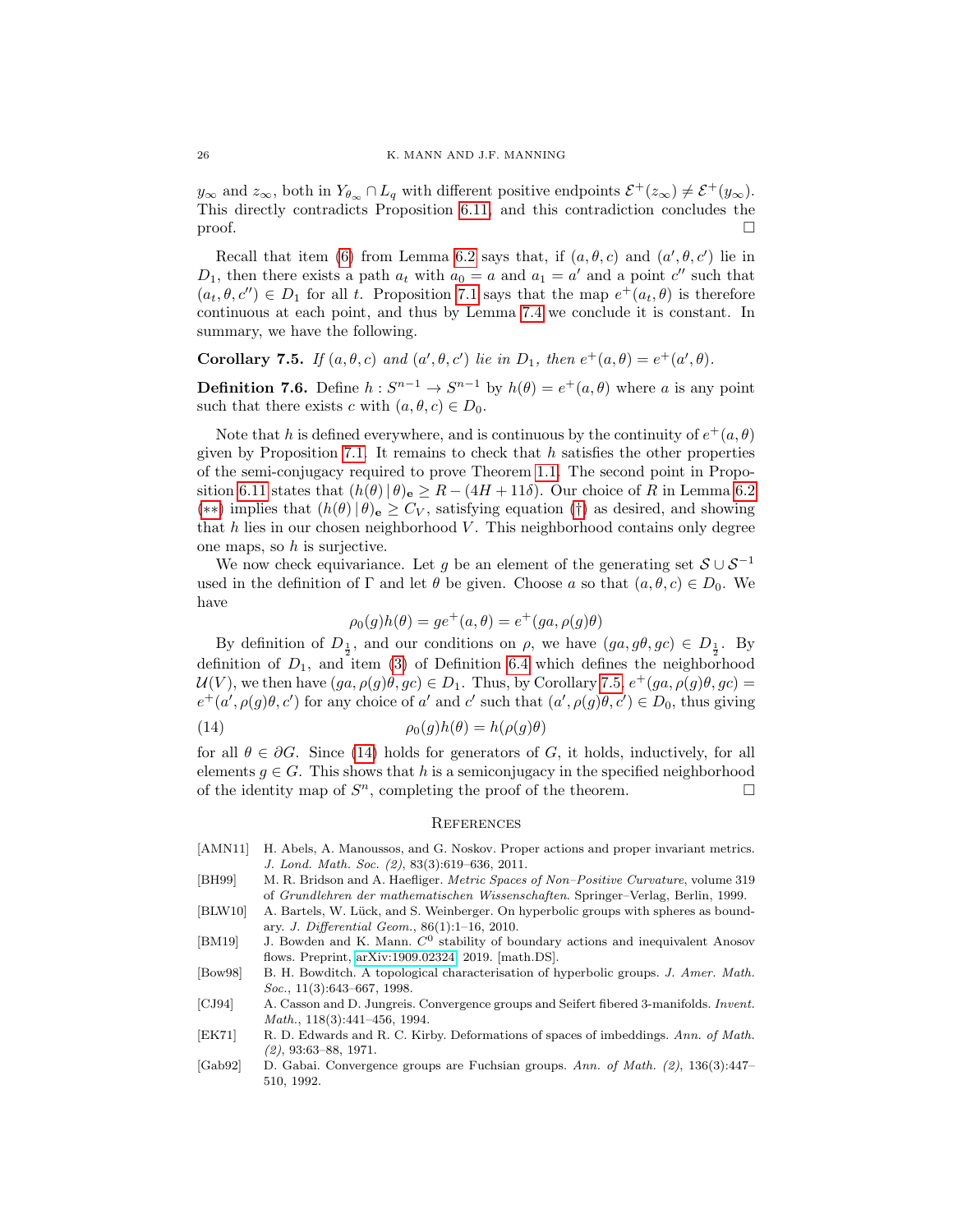$y_{\infty}$  and  $z_{\infty}$ , both in  $Y_{\theta_{\infty}} \cap L_q$  with different positive endpoints  $\mathcal{E}^+(z_{\infty}) \neq \mathcal{E}^+(y_{\infty})$ . This directly contradicts Proposition [6.11,](#page-19-0) and this contradiction concludes the  $\Box$ 

Recall that item [\(6\)](#page-15-8) from Lemma [6.2](#page-15-5) says that, if  $(a, \theta, c)$  and  $(a', \theta, c')$  lie in  $D_1$ , then there exists a path  $a_t$  with  $a_0 = a$  and  $a_1 = a'$  and a point c'' such that  $(a_t, \theta, c'') \in D_1$  for all t. Proposition [7.1](#page-21-0) says that the map  $e^+(a_t, \theta)$  is therefore continuous at each point, and thus by Lemma [7.4](#page-23-2) we conclude it is constant. In summary, we have the following.

<span id="page-25-8"></span>Corollary 7.5. If  $(a, \theta, c)$  and  $(a', \theta, c')$  lie in  $D_1$ , then  $e^+(a, \theta) = e^+(a', \theta)$ .

**Definition 7.6.** Define  $h: S^{n-1} \to S^{n-1}$  by  $h(\theta) = e^+(a, \theta)$  where a is any point such that there exists c with  $(a, \theta, c) \in D_0$ .

Note that h is defined everywhere, and is continuous by the continuity of  $e^+(a, \theta)$ given by Proposition [7.1.](#page-21-0) It remains to check that  $h$  satisfies the other properties of the semi-conjugacy required to prove Theorem [1.1.](#page-0-0) The second point in Propo-sition [6.11](#page-19-0) states that  $(h(\theta) | \theta)_{e} \geq R - (4H + 11\delta)$ . Our choice of R in Lemma [6.2](#page-15-5) (\*\*) implies that  $(h(θ) | θ)$ <sub>e</sub>  $\geq C_V$ , satisfying equation ([†](#page-15-1)) as desired, and showing that  $h$  lies in our chosen neighborhood  $V$ . This neighborhood contains only degree one maps, so  $h$  is surjective.

We now check equivariance. Let g be an element of the generating set  $S \cup S^{-1}$ used in the definition of  $\Gamma$  and let  $\theta$  be given. Choose a so that  $(a, \theta, c) \in D_0$ . We have

$$
\rho_0(g)h(\theta) = ge^+(a,\theta) = e^+(ga,\rho(g)\theta)
$$

By definition of  $D_{\frac{1}{2}}$ , and our conditions on  $\rho$ , we have  $(ga, g\theta, gc) \in D_{\frac{1}{2}}$ . By definition of  $D_1$ , and item [\(3\)](#page-16-6) of Definition [6.4](#page-16-0) which defines the neighborhood  $\mathcal{U}(V)$ , we then have  $(ga, \rho(g)\theta, gc) \in D_1$ . Thus, by Corollary [7.5,](#page-25-8)  $e^+(ga, \rho(g)\theta, gc)$  =  $e^+(a', \rho(g)\theta, c')$  for any choice of a' and c' such that  $(a', \rho(g)\theta, c') \in D_0$ , thus giving

(14) 
$$
\rho_0(g)h(\theta) = h(\rho(g)\theta)
$$

for all  $\theta \in \partial G$ . Since [\(14\)](#page-25-9) holds for generators of G, it holds, inductively, for all elements  $g \in G$ . This shows that h is a semiconjugacy in the specified neighborhood of the identity map of  $S<sup>n</sup>$ , completing the proof of the theorem.

#### <span id="page-25-9"></span>**REFERENCES**

- <span id="page-25-7"></span>[AMN11] H. Abels, A. Manoussos, and G. Noskov. Proper actions and proper invariant metrics. J. Lond. Math. Soc. (2), 83(3):619–636, 2011.
- <span id="page-25-4"></span>[BH99] M. R. Bridson and A. Haefliger. Metric Spaces of Non–Positive Curvature, volume 319 of Grundlehren der mathematischen Wissenschaften. Springer–Verlag, Berlin, 1999.
- <span id="page-25-3"></span>[BLW10] A. Bartels, W. Lück, and S. Weinberger. On hyperbolic groups with spheres as boundary. J. Differential Geom., 86(1):1–16, 2010.
- <span id="page-25-0"></span>[BM19] J. Bowden and K. Mann.  $C^0$  stability of boundary actions and inequivalent Anosov flows. Preprint, [arXiv:1909.02324,](http://arXiv.org/abs/1909.02324) 2019. [math.DS].
- <span id="page-25-5"></span>[Bow98] B. H. Bowditch. A topological characterisation of hyperbolic groups. J. Amer. Math. Soc., 11(3):643-667, 1998.
- <span id="page-25-2"></span>[CJ94] A. Casson and D. Jungreis. Convergence groups and Seifert fibered 3-manifolds. Invent. Math., 118(3):441–456, 1994.
- <span id="page-25-6"></span>[EK71] R. D. Edwards and R. C. Kirby. Deformations of spaces of imbeddings. Ann. of Math. (2), 93:63–88, 1971.
- <span id="page-25-1"></span>[Gab92] D. Gabai. Convergence groups are Fuchsian groups. Ann. of Math. (2), 136(3):447– 510, 1992.